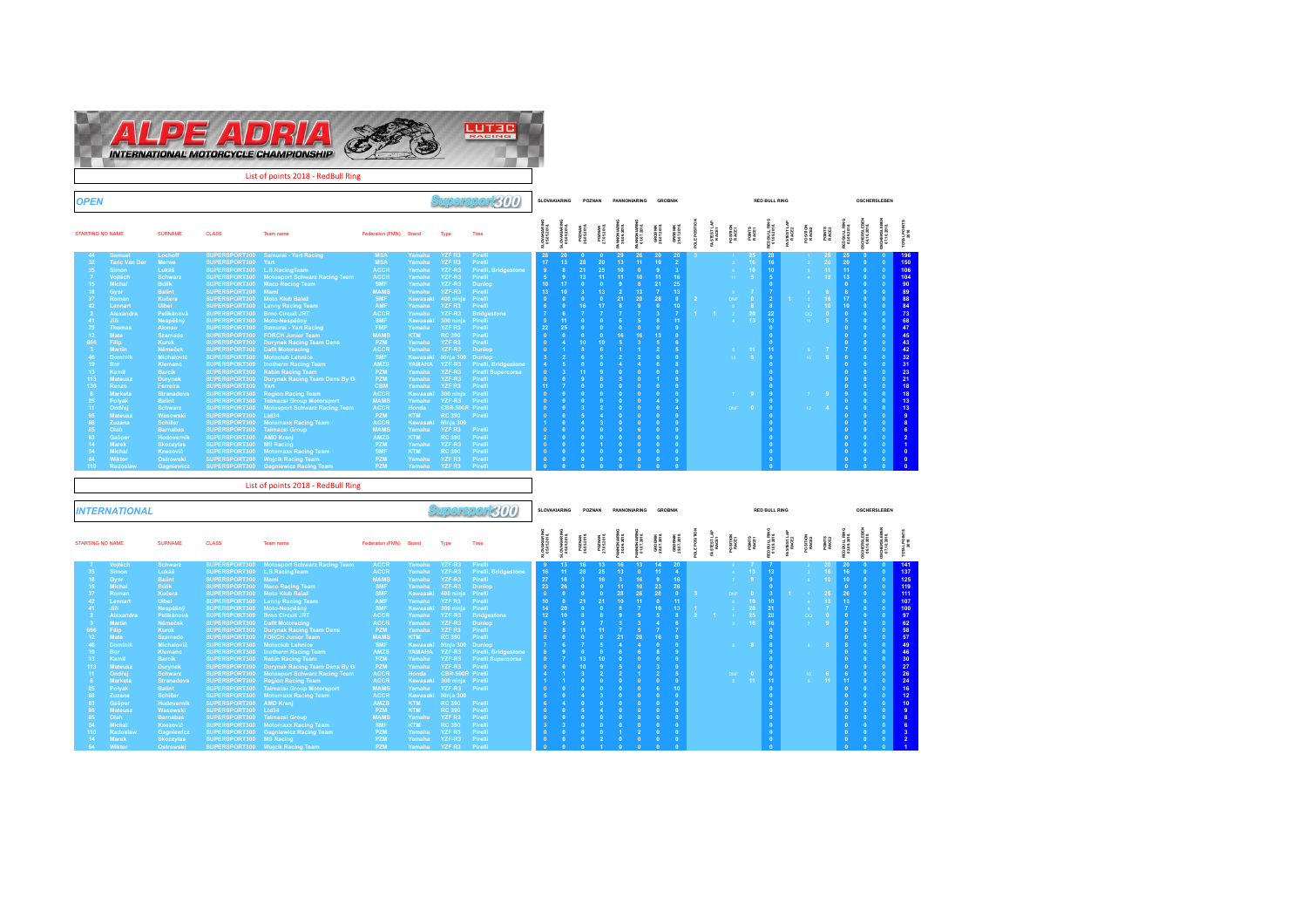

| <b>OPEN</b>     |                                 |                                       |                                |                                                                                           |                            |                               |                                              | Supersport $300\,$              |                                   | SLOVAKIARING                   |                             | POZNAN                           | <b>PANNONIARING</b>     |                              | <b>GROBNIK</b>         |                                   |                   |                             |                       |                                    | <b>RED BULL RING</b>       |                    |                          |                              |                             |                                  | <b>OSCHERSLEREN</b>    |                 |
|-----------------|---------------------------------|---------------------------------------|--------------------------------|-------------------------------------------------------------------------------------------|----------------------------|-------------------------------|----------------------------------------------|---------------------------------|-----------------------------------|--------------------------------|-----------------------------|----------------------------------|-------------------------|------------------------------|------------------------|-----------------------------------|-------------------|-----------------------------|-----------------------|------------------------------------|----------------------------|--------------------|--------------------------|------------------------------|-----------------------------|----------------------------------|------------------------|-----------------|
|                 | <b>STARTING NO NAME</b>         | <b>SURNAME</b>                        | <b>CLASS</b>                   | Team name                                                                                 | Federation (FMN) Brand     |                               | Type                                         | Tires                           | <b>JLOVAKIARIN</b><br>05.05.2018. | 3LOVAKIARIN<br>05.05.2018.     | POZNAN<br>28.05.2018        | PO ZWAN<br>27.05.2018            | NNO NARB<br>30.06.2018  | <b>JNONARN</b><br>01.07.2018 | GROBNIK<br>28.07.2018. | GROBNIK<br>29.07.2018.            | OLE POSITION      | <b>FASTEST LAP</b><br>RACE1 | PO SITION<br>RACE1    | POINTS<br>RACE1                    | ED BULL RIM<br>01.09.2018. | <b>FASTEST LAI</b> | <b>POSITION</b><br>RACEZ | POINTS<br>RACE2              |                             | CHERSLEB<br>06.10.2018           | CHERBLE<br>07.10.201   | TOTAL PONT      |
| -44<br>32       | <b>Samue</b>                    | Lochoff                               | SUPERSPORT300                  | <b>Samurai - Yart Racing</b>                                                              | <b>MSA</b><br><b>MSA</b>   | Yamaha                        | <b>YZFR3</b><br>YZF R3                       | Pirelli                         | -28.<br>17 <sup>°</sup>           | 20<br>13 <sup>°</sup>          | - 0<br>28                   | -0<br>20                         | 29<br>13                | 26<br>11                     | 20<br>10 <sup>°</sup>  | 20<br>$\overline{2}$              |                   |                             |                       | 25 <sub>1</sub>                    | 28<br>16                   |                    |                          | -25<br>20                    | 25<br>20                    | - 0<br>$\Omega$                  |                        | 196<br>150      |
| 35              | <b>Taric Van Der</b><br>Simon   | Merwe<br>Lukáš                        | SUPERSPORT300<br>SUPERSPORT300 | Yart<br>L.S.RacingTeam                                                                    | <b>ACCR</b>                | Yamaha<br>Yamaha              | YZF-R3                                       | Pirelli<br>Pirelli, Bridgestone | 9                                 |                                | 21                          | 25                               | 10 <sub>1</sub>         | $\overline{0}$               | 9                      | $\overline{3}$                    |                   |                             |                       | 16 <sub>1</sub><br>10 <sub>1</sub> | 10 <sub>1</sub>            |                    | -6                       | 11                           | 11                          | $\overline{0}$                   |                        | 106             |
|                 | Vojtěch                         | <b>Schwarz</b>                        | SUPERSPORT300                  | <b>Motosport Schwarz Racing Team</b>                                                      | <b>ACCR</b>                | Yamaha                        | YZF-R3                                       | Pirelli                         | 5                                 | $\overline{9}$                 | 13                          | 11                               | 11                      | 10 <sup>°</sup>              | 11                     | 16                                |                   |                             |                       |                                    |                            |                    |                          | 13 <sup>°</sup>              | 13 <sup>°</sup>             | $\overline{0}$                   |                        | 104             |
| 15              | Michal                          | <b>Bulik</b>                          | SUPERSPORT300                  | <b>Maco Racing Team</b>                                                                   | <b>SMF</b>                 | Yamaha                        | YZF-R3                                       | Dunlop                          | 10 <sup>°</sup>                   | 17                             |                             | $\overline{0}$                   |                         | 8                            | 21                     | 25                                |                   |                             |                       |                                    |                            |                    |                          |                              |                             |                                  |                        | 90              |
| 18              | Gyor                            | <b>Balint</b>                         | SUPERSPORT300                  | Mami<br>Moto Klub Balaž                                                                   | <b>MAMS</b>                | Yamaha                        | YZF-R3                                       | Pirelli                         | 13 <sup>°</sup>                   | 10                             |                             | 13 <sup>°</sup>                  | $\overline{2}$          | 13                           |                        | 13                                |                   |                             |                       |                                    |                            |                    |                          |                              |                             |                                  |                        | 89              |
| 37<br>42        | Romar                           | Kučera                                | SUPERSPORT300                  |                                                                                           | <b>SMF</b><br>AMF          | <b>Kawasak</b>                | 400 ninja                                    | Pirelli                         |                                   |                                | 16                          | $\Omega$<br>17                   | 21                      | 20                           | 28<br>$\Omega$         | $\overline{0}$                    |                   |                             |                       | $\overline{0}$                     | $\mathbf{R}$               |                    |                          | 16                           | 17 <sub>2</sub>             |                                  |                        | 88              |
|                 | Lennart<br>Alexandra            | <b>Ulbel</b><br>Pelikánová            | SUPERSPORT300<br>SUPERSPORT300 | <b>Lenny Racing Team</b><br><b>Brno Circuit JRT</b>                                       | <b>ACCR</b>                | Yamaha<br>Yamaha              | YZF R3<br>YZF-R3                             | Pirelli<br><b>Bridgestone</b>   |                                   |                                |                             |                                  |                         |                              |                        | 10 <sub>1</sub><br>$\overline{7}$ |                   |                             |                       | 20                                 | 22                         |                    | DQ                       | 10 <sub>1</sub><br>$\bullet$ | 10<br>$\overline{0}$        |                                  |                        | 84<br>73        |
| 41              | <b>Jiří</b>                     | Nespěšný                              | SUPERSPORT300                  | Moto-Nespěšný                                                                             | <b>SMF</b>                 | Kawasaki                      | 300 ninia                                    | Pirelli                         |                                   | 11                             |                             |                                  |                         |                              |                        | 11                                |                   |                             |                       | 13 <sup>°</sup>                    | 13                         |                    |                          |                              | $\overline{5}$              | $\Omega$                         |                        | 68              |
| 79              | <b>Thomas</b>                   | <b>Alonso</b>                         | SUPERSPORT300                  | <b>Samurai - Yart Racing</b>                                                              | <b>FMP</b>                 | Yamaha                        | YZF <sub>R3</sub>                            | Pirelli                         | 22                                | 25                             |                             |                                  |                         |                              |                        | $\Omega$                          |                   |                             |                       |                                    |                            |                    |                          |                              | $\Omega$                    |                                  |                        | 47              |
| 12              | Mate                            | Szamado                               |                                | SUPERSPORT300 FORCH Junior Team                                                           | <b>MAMS</b>                | <b>KTM</b>                    | <b>RC 390</b>                                | Pirelli                         |                                   |                                |                             |                                  | 16                      |                              | 13 <sup>°</sup>        | $\Omega$                          |                   |                             |                       |                                    |                            |                    |                          |                              |                             |                                  |                        | 45              |
| 666             | Filip                           | Kurek<br>Němeček                      |                                | <b>SUPERSPORT300 Durynek Racing Team Dens</b>                                             | <b>PZM</b>                 | Yamaha                        | YZF <sub>R3</sub>                            | Pirelli                         |                                   |                                |                             | 10                               |                         |                              |                        | <b>G</b>                          |                   |                             |                       |                                    |                            |                    |                          |                              | $\Omega$                    |                                  |                        | 43              |
| 46              | <b>Martin</b><br><b>Dominik</b> | Michalovič                            | SUPERSPORT300 Dafit Motoracing | SUPERSPORT300 Motoclub Lehnice                                                            | <b>ACCR</b><br><b>SMF</b>  | Yamaha                        | YZF-R3<br>Kawasaki Ninja 300                 | <b>Dunlop</b><br>Dunlop         |                                   |                                |                             |                                  |                         |                              |                        | 5<br>$\Omega$                     |                   |                             |                       | 11 <sub>1</sub><br>$-6$            | -11                        |                    | $10-1$                   | $-6$                         | 6                           | $\sqrt{2}$                       |                        | 42<br>32        |
| 19              | <b>Bor</b>                      | <b>Klemenc</b>                        |                                | SUPERSPORT300 Inotherm Racing Team                                                        | <b>AMZS</b>                |                               | YAMAHA YZF-R3                                | Pirelli, Bridgestone            |                                   |                                |                             |                                  |                         |                              |                        | 8                                 |                   |                             |                       |                                    |                            |                    |                          |                              | $\Omega$                    |                                  |                        |                 |
| 13 <sup>7</sup> | Kamil                           | <b>Barcik</b>                         |                                | SUPERSPORT300 Rabin Racing Team                                                           | <b>PZM</b>                 | Yamaha                        | YZF-R3                                       | <b>Pirelli Supercorsa</b>       |                                   |                                |                             |                                  |                         |                              |                        |                                   |                   |                             |                       |                                    |                            |                    |                          |                              |                             |                                  |                        | $\frac{31}{23}$ |
| 113             | <b>Mateusz</b>                  | <b>Durynek</b>                        |                                | SUPERSPORT300 Durynek Racing Team Dens By G                                               | <b>PZM</b>                 | Yamaha                        | YZF-R3                                       | Pirelli                         |                                   |                                |                             |                                  |                         |                              |                        | $\overline{0}$                    |                   |                             |                       |                                    |                            |                    |                          |                              |                             |                                  |                        | 21              |
| 130             | Renzo                           | Ferreira                              | SUPERSPORT300 Yart             |                                                                                           | <b>CBM</b>                 | Yamaha                        | YZFR3                                        | Pirelli                         |                                   |                                |                             |                                  |                         |                              |                        | $\overline{0}$                    |                   |                             |                       |                                    |                            |                    |                          |                              | $\overline{0}$              |                                  |                        | 18              |
| 25              | <b>Marketa</b><br>Polyak        | Stranadova<br><b>Balint</b>           |                                | <b>SUPERSPORT300 Region Racing Team</b><br><b>SUPERSPORT300 Talmacsi Group Motorsport</b> | <b>ACCR</b><br><b>MAMS</b> | Kawasaki<br>Yamaha            | 300 ninja Pirelli<br>YZF-R3                  | Pirelli                         |                                   |                                |                             |                                  |                         |                              |                        | $\overline{0}$<br><b>g</b>        |                   |                             | $\mathcal{T}$         | - 9                                |                            |                    | 7 <sup>2</sup>           | -9.                          | $\overline{9}$<br>$\bullet$ | $\Omega$                         | $\Omega$               | 18<br>13        |
| 11              | Ondřej                          | Schwarz                               |                                | <b>SUPERSPORT300 Motosport Schwarz Racing Team</b>                                        | <b>ACCR</b>                | Honda                         | <b>CBR-500R Pirelli</b>                      |                                 |                                   |                                |                             |                                  |                         |                              |                        | $\overline{A}$                    |                   |                             | DNF:                  | $\overline{\phantom{0}}$           |                            |                    | $12 -$                   | $\mathbf{A}$                 | $\boldsymbol{A}$            | $\Omega$                         |                        | 13              |
| 95              | <b>Mateusz</b>                  | Wasowski                              | SUPERSPORT300 Ltd34            |                                                                                           | <b>PZM</b>                 | <b>KTM</b>                    | RC 390                                       | Pirelli                         |                                   |                                |                             |                                  |                         |                              |                        | $\Omega$                          |                   |                             |                       |                                    |                            |                    |                          |                              | $\Omega$                    | $\sqrt{2}$                       |                        |                 |
| 68              | Zuzana                          | <b>Schiller</b>                       | SUPERSPORT300                  | <b>Motomaxx Racing Team</b>                                                               | <b>ACCR</b>                | Kawasaki                      | Ninja 300                                    |                                 |                                   |                                |                             |                                  |                         |                              |                        | ō                                 |                   |                             |                       |                                    |                            |                    |                          |                              | $\sqrt{2}$                  |                                  |                        |                 |
| 85              | Olah                            | <b>Barnabas</b>                       | SUPERSPORT300                  | Talmacsi Group                                                                            | <b>MAMS</b>                | Yamaha                        | YZFR3                                        | Pirelli                         |                                   |                                |                             |                                  |                         |                              |                        | ō                                 |                   |                             |                       |                                    |                            |                    |                          |                              |                             |                                  |                        |                 |
| 83<br>14        | Gašper<br><b>Marek</b>          | <b>Hudovernil</b><br><b>Skoczylas</b> | SUPERSPORT300<br>SUPERSPORT300 | <b>AMD Kranj</b><br><b>MS Racing</b>                                                      | AMZS<br><b>PZM</b>         | <b>KTM</b><br>Yamaha          | <b>RC 390</b><br>YZF-R3                      | Pirelli<br>Pirelli              |                                   |                                |                             |                                  |                         |                              |                        | ō                                 |                   |                             |                       |                                    |                            |                    |                          |                              |                             |                                  |                        |                 |
|                 | Micha                           | Knezovič                              | SUPERSPORT300                  | <b>Motomaxx Racing Team</b>                                                               | <b>SMF</b>                 | <b>KTM</b>                    | <b>RC 390</b>                                | Pirelli                         |                                   |                                |                             |                                  |                         |                              |                        |                                   |                   |                             |                       |                                    |                            |                    |                          |                              |                             |                                  |                        |                 |
| <b>G4</b>       | Wikto                           | Ostrowski                             | SUPERSPORT300                  | <b>Wojcik Racing Team</b>                                                                 | <b>PZM</b>                 | Yamaha                        | YZF R3                                       | Pirelli                         |                                   |                                |                             |                                  |                         |                              |                        |                                   |                   |                             |                       |                                    |                            |                    |                          |                              |                             |                                  |                        |                 |
| 110             | Radoslay                        | Gagniewicz                            | SUPERSPORT300                  | <b>Gagniewicz Racing Team</b>                                                             | <b>PZM</b>                 | Yamaha                        | YZF R3                                       | Pirelli                         |                                   |                                |                             |                                  |                         |                              |                        |                                   |                   |                             |                       |                                    |                            |                    |                          |                              |                             |                                  |                        |                 |
|                 |                                 |                                       |                                | List of points 2018 - RedBull Ring                                                        |                            |                               |                                              |                                 |                                   |                                |                             |                                  |                         |                              |                        |                                   |                   |                             |                       |                                    |                            |                    |                          |                              |                             |                                  |                        |                 |
|                 |                                 |                                       |                                |                                                                                           |                            |                               |                                              |                                 |                                   |                                |                             |                                  |                         |                              |                        |                                   |                   |                             |                       |                                    |                            |                    |                          |                              |                             |                                  |                        |                 |
|                 | <b>INTERNATIONAL</b>            |                                       |                                |                                                                                           |                            |                               |                                              | Supersport300                   | SLOVAKIARING                      |                                |                             | POZNAN                           | <b>PANNONIARING</b>     |                              | <b>GROBNIK</b>         |                                   |                   |                             |                       |                                    | <b>RED BULL RING</b>       |                    |                          |                              |                             |                                  | <b>OSCHERSLEREN</b>    |                 |
|                 | STARTING NO NAME                | <b>SURNAME</b>                        | <b>CLASS</b>                   | Team name                                                                                 | Federation (FMN) Brand     |                               | Type                                         | Tires                           |                                   |                                |                             |                                  |                         |                              |                        |                                   |                   |                             |                       |                                    |                            |                    |                          |                              |                             |                                  |                        |                 |
|                 |                                 |                                       |                                |                                                                                           |                            |                               |                                              |                                 | OVAKIARIN<br>05.05.2018           | <b>OVAKIARIN</b><br>05.05.2018 | <b>POZNAN</b><br>26.05.2018 | <b>POZNAN</b><br>27.05.2018      |                         | NNONIMRIB<br>01.072018       | GROBNIK<br>28.07.2018  | GROBNIK<br>29.07.2018             | <b>LE POSITIO</b> | FASTESTLAP<br>RACE1         | POSITION<br>RACE1     | PONTS<br>RAGE1                     | DBULL RM<br>1109.2018.     | <b>IASTESTLAI</b>  | POSITION<br>RACE 2       | PONTS<br>RACE2               | DBULL RIN<br>02.09.2018.    | 3HERSLE BI<br>16.10.2019.        | CHERSLE<br>07.102018   | TOTAL POINT     |
|                 | Vojtěch                         | <b>Schwarz</b>                        | SUPERSPORT300                  | <b>Motosport Schwarz Racing Team</b>                                                      | <b>ACCR</b>                | Yamaha                        | YZF-R3                                       | Pirelli                         |                                   | 13                             | 16                          | 13                               | 16                      | 13                           |                        |                                   |                   |                             |                       |                                    |                            |                    |                          |                              | 20                          |                                  |                        | 141             |
| 35              | Simon                           | Lukáš                                 | SUPERSPORT300 L.S.RacingTeam   |                                                                                           | <b>ACCR</b>                | Yamaha                        | YZF-R3                                       | Pirelli, Bridgestone            | 16 <sup>1</sup>                   | 11                             | 28                          | 25                               | 13 <sub>1</sub>         | $\Omega$                     | 11                     | $\sim$                            |                   |                             | $-4 -$                | 13 <sup>°</sup>                    | 13 <sup>°</sup>            |                    |                          | 16                           | 16                          | $\overline{0}$                   | $\Omega$               | 137             |
| 18              | Gyor                            | <b>Balint</b>                         | SUPERSPORT300 Mami             |                                                                                           | <b>MAMS</b>                | Yamaha                        | YZF-R3                                       | Pirelli                         | 27                                | 16                             | - 3                         | 16                               | $\overline{\mathbf{3}}$ | 16                           | 9                      | $16\,$                            |                   |                             | $-7$ .                | 9 <sup>°</sup>                     | 9                          |                    | $-6$                     | 10 <sup>°</sup>              | 10 <sub>1</sub>             |                                  |                        | 125             |
| 15<br>37        | Michal<br>Roman                 | <b>Búlik</b>                          | SUPERSPORT300                  | <b>Maco Racing Team</b><br>Moto Klub Balaž                                                | <b>SMF</b><br><b>SMF</b>   | Yamaha<br><b>Kawasaki</b>     | YZF-R3<br>400 ninja                          | <b>Dunlop</b><br>Pirelli        | 23 <sup>°</sup><br>$\Omega$       | 26<br>$\Omega$                 | - 0<br>- 0                  | $\overline{0}$<br>$\overline{0}$ | 11<br>28                | 10 <sup>°</sup><br>26        | 23<br>28               | ${\bf 26}$<br>$\mathbf 0$         |                   |                             | DNF                   | $\overline{\phantom{0}}$           | $\mathbf{a}$<br>-3.        |                    |                          | 25                           | $\bullet$                   | $\Omega$<br>$\Omega$             |                        | 119<br>111      |
| 42              | Lennart                         | Kučera<br><b>Ulbel</b>                | SUPERSPORT300<br>SUPERSPORT300 | <b>Lenny Racing Team</b>                                                                  | AMF                        | Yamaha                        | YZFR3                                        | Pirelli                         | 10                                |                                | 21                          | 21                               | 10 <sub>1</sub>         | 11                           | $\mathbf 0$            | 11 <sub>1</sub>                   |                   |                             |                       | 10 <sub>1</sub>                    | 10                         |                    | $\langle 4 \rangle$      | 13 <sup>°</sup>              | 26<br>13 <sub>1</sub>       | $\Omega$                         |                        | 107             |
| 41              | Jiří.                           | Nespěšný                              | SUPERSPORT300                  | Moto-Nespešný                                                                             | <b>SMF</b>                 | <b>Kawasaki</b>               | 300 ninia                                    | Pirelli                         |                                   | 20                             |                             | $\Omega$                         |                         |                              | 10 <sup>1</sup>        | 13                                |                   |                             | $\,2\,$               | 20                                 | 21                         |                    |                          |                              | $\overline{7}$              | $\Omega$                         |                        | 100             |
|                 | Alexandra                       | Pelikánov                             | SUPERSPORT300                  | <b>Brno Circuit JRT</b>                                                                   | <b>ACCF</b>                | Yamaha                        | YZF-R3                                       | <b>Bridgestone</b>              | 12 <sub>2</sub>                   | 10                             |                             |                                  |                         |                              |                        | 8                                 |                   |                             |                       | 25                                 | 28                         |                    | DO.                      |                              | o                           |                                  |                        | 97              |
|                 | <b>Martir</b>                   | Němeček                               | SUPERSPORT300                  | <b>Dafit Motoracing</b>                                                                   | <b>ACCF</b>                | Yamaha                        | YZF-R3                                       | <b>Dunlop</b>                   |                                   |                                |                             |                                  |                         |                              |                        |                                   |                   |                             |                       | 16 <sup>°</sup>                    | 16                         |                    | $\mathcal{T}$            | 9                            | $\overline{9}$              |                                  |                        | 62              |
| 666<br>12       | Filip<br>Mate                   | <b>Kurek</b>                          | SUPERSPORT300                  | <b>Durynek Racing Team Dens</b>                                                           | <b>PZM</b><br><b>MAMS</b>  | Yamaha                        | YZF R3<br><b>RC 390</b>                      | Pirell                          |                                   |                                |                             | 11                               |                         |                              |                        |                                   |                   |                             |                       |                                    |                            |                    |                          |                              | $\Omega$                    |                                  |                        | 58              |
| $\overline{AB}$ | <b>Dominik</b>                  | <b>Szamado</b><br>Michalovic          | SUPERSPORT300<br>SUPERSPORT300 | <b>FORCH Junior Team</b><br>Motoclub Lehnice                                              | <b>SMF</b>                 | <b>KTM</b><br><b>Kawasaki</b> | Ninia 300                                    | Pirelli<br>Dunlo                |                                   |                                |                             |                                  | 21                      | 20                           | 16                     | п                                 |                   |                             |                       | $\overline{\phantom{a}}$ 8         |                            |                    |                          | 8                            | 8                           |                                  |                        | 57<br>49        |
| 19              | Bor                             | <b>Klemenc</b>                        | SUPERSPORT300                  | <b>Inotherm Racing Team</b>                                                               | AMZS                       | YAMAHA                        | YZF-R3                                       | Pirelli, Bridgestone            |                                   |                                |                             |                                  |                         |                              |                        |                                   |                   |                             |                       |                                    |                            |                    |                          |                              | $\mathbf{0}$                | $\overline{0}$                   |                        | 46              |
| 13 <sup>°</sup> | Kamil                           | <b>Barcik</b>                         | SUPERSPORT300                  | <b>Rabin Racing Team</b>                                                                  | <b>PZM</b>                 | Yamaha                        | YZF-R3                                       | <b>Pirelli Supercorsa</b>       |                                   |                                | 13                          | 10                               |                         |                              |                        | п                                 |                   |                             |                       |                                    |                            |                    |                          |                              | $\Omega$                    | $\Omega$                         |                        | 30              |
| 113             | Mateusz                         | <b>Durynek</b>                        | SUPERSPORT300                  | Durynek Racing Team Dens By G                                                             | <b>PZM</b>                 | Yamaha                        | YZF-R3                                       | Pirelli                         |                                   |                                |                             |                                  |                         |                              |                        | n                                 |                   |                             |                       |                                    |                            |                    |                          |                              | $\Omega$                    | $\overline{0}$                   | $\Omega$               | 27              |
| 11              | Ondřei<br>Marketa               | <b>Schwarz</b><br><b>Stranadova</b>   | SUPERSPORT300<br>SUPERSPORT300 | <b>Motosport Schwarz Racing Team</b>                                                      | <b>ACCR</b><br><b>ACCR</b> | Honda<br>Kawasaki             | <b>CBR-500R Pirelli</b><br>300 ninia Pirelli |                                 |                                   |                                |                             |                                  |                         |                              |                        | $\Omega$                          |                   |                             | DNF<br>$\sim 10^{-1}$ | $\Omega$                           | $\Omega$<br>11             |                    | 10 <sup>1</sup><br>is.   | 11 <sup>°</sup>              | <b>G</b>                    | $\overline{0}$<br>$\overline{0}$ | $\Omega$<br>$\sqrt{2}$ | 26              |
| 25              | Polyak                          | <b>Balint</b>                         | SUPERSPORT300                  | <b>Region Racing Team</b><br><b>Talmacsi Group Motorsport</b>                             | <b>MAMS</b>                | Yamaha                        | YZF-R3                                       | Pirelli                         |                                   |                                |                             |                                  |                         |                              |                        | 10                                |                   |                             |                       | 11 <sup>7</sup>                    |                            |                    |                          |                              | 11<br>$\Omega$              |                                  |                        | 24<br>16        |
| 68              | Zuzana                          | <b>Schiller</b>                       | SUPERSPORT300                  | <b>Motomaxx Racing Team</b>                                                               | <b>ACCR</b>                |                               | Kawasaki Ninja 300                           |                                 |                                   |                                |                             |                                  |                         |                              |                        | $\Omega$                          |                   |                             |                       |                                    |                            |                    |                          |                              |                             |                                  |                        | 12              |
| 83              | Gašper                          | Hudovernik                            | SUPERSPORT300                  | <b>AMD Kranj</b>                                                                          | AMZS                       | KTM                           | <b>RC 390</b>                                | Pirelli                         |                                   |                                |                             |                                  |                         |                              |                        |                                   |                   |                             |                       |                                    |                            |                    |                          |                              |                             |                                  |                        | 10              |
| 95              | <b>Mateusz</b>                  | Wasowski                              | SUPERSPORT300 Ltd34            |                                                                                           | <b>PZM</b>                 | <b>KTM</b>                    | <b>RC 390</b>                                | Pirelli                         |                                   |                                |                             |                                  |                         |                              |                        |                                   |                   |                             |                       |                                    |                            |                    |                          |                              |                             |                                  |                        |                 |
| 85<br>54        | Olah                            | <b>Barnabas</b>                       | SUPERSPORT300                  | <b>Talmacsi Group</b>                                                                     | <b>MAMS</b>                | Yamaha                        | YZF <sub>R3</sub>                            | Pirelli                         |                                   |                                |                             |                                  |                         |                              |                        |                                   |                   |                             |                       |                                    |                            |                    |                          |                              |                             |                                  |                        |                 |
| 110             | Michal<br>Radoslaw              | Knezovič<br>Gagniewicz                | SUPERSPORT300<br>SUPERSPORT300 | <b>Motomaxx Racing Team</b><br><b>Gagniewicz Racing Team</b>                              | <b>SMF</b><br>PZM          | KTM<br>Yamaha                 | <b>RC 390</b><br>YZF R3                      | Pirelli<br>Pirelli              |                                   |                                |                             |                                  |                         |                              |                        |                                   |                   |                             |                       |                                    |                            |                    |                          |                              |                             |                                  |                        |                 |
| $14-$           | <b>Marek</b>                    | <b>Skoczylas</b><br>Ostrowsk          | SUPERSPORT300 MS Racing        | <b>Wojcik Racin</b>                                                                       | PZM<br>PZM                 | Yamaha<br>Yamaha              | YZF-R3<br>YZF R3                             | Pirelli                         |                                   |                                |                             |                                  | $\Omega$                |                              |                        |                                   |                   |                             |                       |                                    |                            |                    |                          |                              |                             |                                  |                        |                 |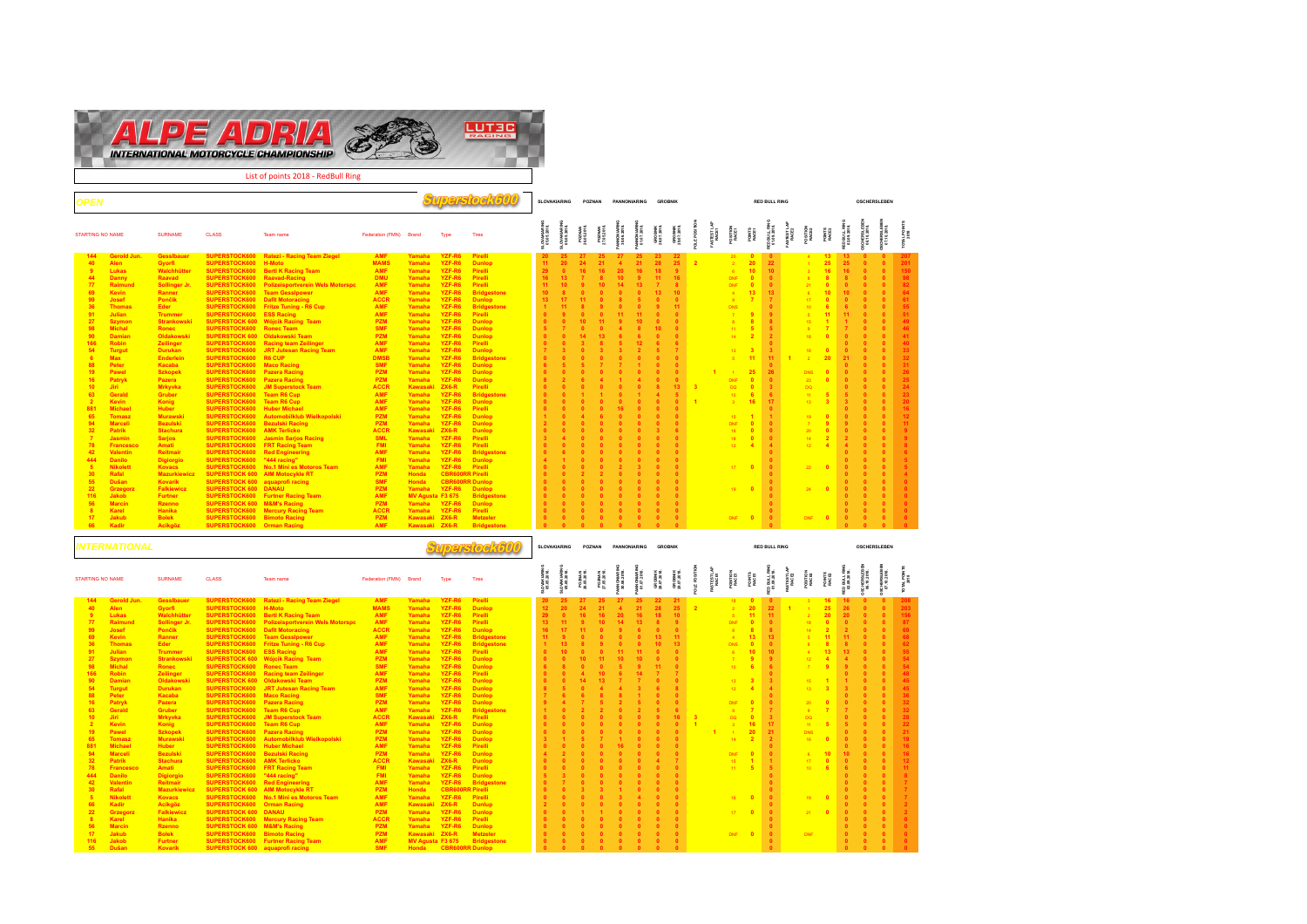

**Superstock600 SLOVAKIARING POZNAN PANNONIARING GROBNIK RED BULL RING OSCHERSLEBEN OSCHERSLEBEN OSCHERSLEBEN SLOVAKIARING SLOVAKIARING PANNONIARING PANNONIARING RED BULL RING RED BULL RING TOTAL POINTS POLE POSITION FASTEST LAP FASTEST LAP 05.05.2018. 05.05.2018. POZNAN 26.05.2018. POZNAN 27.05.2018. 30.06.2018. 01.07.2018. GROBNIK 28.07.2018. GROBNIK 29.07.2018. POSITION 01.09.2018. POSITION 02.09.2018. 06.10.2018. 07.10.2018. RACE1 RACE1 POINTS RACE1 RACE2 RACE2 POINTS RACE2 2018** STARTING NO DAMEN GLASS Team name Federation Transformation of the Class Team of The Class Team of the Class Team of the Class Team of the Class Team of the Class Team of the Class Team of the Class Team of the Class Team 144 Georgia (1945) and the material fields and the state of the state of the state of the state of the state of the state of the state of the state of the state of the state of the state of the state of the state of the s **42 Valentin Reitmair SUPERSTOCK600 Red Engineering AMF Yamaha YZF-R6 Bridgestone 0 6 0 0 0 0 0 0 0 0 0 0 6 444 Danilo Digiorgio SUPERSTOCK600 "444 racing" FMI Yamaha YZF-R6 Dunlop 4 1 0 0 0 0 0 0 0 0 0 0 5 5 Nikolett Kovacs SUPERSTOCK600 No.1 Mini es Motoros Team AMF Yamaha YZF-R6 Pirelli 0 0 0 0 2 3 0 0** 17 **0 0** 22 **0 0 0 0 5 30 Rafal Mazurkiewicz SUPERSTOCK 600 AIM Motocykle RT PZM Honda CBR600RR Pirelli 0 0 2 2 0 0 0 0 0 0 0 0 4 55 Dušan Kovarík SUPERSTOCK 600 aquaprofi racing SMF Honda CBR600RR Dunlop 0 0 0 0 0 0 0 0 0 0 0 0 0 22 Grzegorz Falkiewicz SUPERSTOCK 600 DANAU PZM Yamaha YZF-R6 Dunlop 0 0 0 0 0 0 0 0** 19 **0 0** 24 **0 0 0 0 0 116 Jakob Furtner SUPERSTOCK600 Furtner Racing Team AMF MV Agusta F3 675 Bridgestone 0 0 0 0 0 0 0 0 0 0 0 0 0 56 Marcin Rzenno SUPERSTOCK 600 M&M's Racing PZM Yamaha YZF-R6 Dunlop 0 0 0 0 0 0 0 0 0 0 0 0 0 8 Karel Hanika SUPERSTOCK600 Mercury Racing Team ACCR Yamaha YZF-R6 Pirelli 0 0 0 0 0 0 0 0 0 0 0 0 0 17 Jakub Bolek SUPERSTOCK600 Bimoto Racing PZM Kawasaki ZX6-R Metzeler 0 0 0 0 0 0 0 0** DNF **0 0** DNF **0 0 0 0 0 66 Kadir Acikgöz SUPERSTOCK600 Orman Racing AMF Kawasaki ZX6-R Bridgestone 0 0 0 0 0 0 0 0 0 0 0 0 0**

|                         | INTERNATIONAL           |                                |                                        |                                                               |                          |                  |                  | verslog ka               |                 | <b>SLOVAKIARING</b>       |                       | POZNAN                       |                          | PANNONIARING             | <b>GROBNIK</b>         |                        |                         |                      |                   |                          | <b>RED BULL RING</b>        |                     |                                  |                 |                          | <b>OSCHERSLEBEN</b> |              |                   |
|-------------------------|-------------------------|--------------------------------|----------------------------------------|---------------------------------------------------------------|--------------------------|------------------|------------------|--------------------------|-----------------|---------------------------|-----------------------|------------------------------|--------------------------|--------------------------|------------------------|------------------------|-------------------------|----------------------|-------------------|--------------------------|-----------------------------|---------------------|----------------------------------|-----------------|--------------------------|---------------------|--------------|-------------------|
| <b>STARTING NO NAME</b> |                         | <b>SURNAME</b>                 | <b>CLASS</b>                           | Team name                                                     | Federation (FMN) Brand   |                  | Type             | Tires                    |                 | OVAKIA.RIN<br>05.05.2018. | POZNAN<br>26.05.2018. | <b>POZNAN</b><br>27.05.2018. | WNONIARIN<br>30.06.2018. | WNONIARIB<br>01.07.2018. | GROBNIK<br>28.07.2018. | GROBNIK<br>29.07.2018. | <b>ALE POSITI</b>       | FASTEST LAP<br>RACE1 | POSITION<br>RACE1 | POINTS<br>RAGE1          | ED BULL RING<br>01.09.2018. | ASTEST LAP<br>RACE2 | POSITION<br>RACE2                | POINTS<br>RACE2 | D BULL RIM<br>02.09.2018 |                     |              | <b>TAL POINTS</b> |
| 144                     | Gerold Jun.             | Gessibauer                     | SUPERSTOCK600                          | <b>Ratezi - Racing Team Ziegel</b>                            | <b>AMF</b>               | Yamaha           | YZF-R6           | Pirelli                  | 20 <sup>°</sup> | 25                        | 27                    | 25                           | 27                       | 25                       | 22                     | 21                     |                         |                      | $18 -$            |                          |                             |                     |                                  | 16              | 16 <sup>2</sup>          |                     |              |                   |
| 40                      | <b>Alen</b>             | Gyorfi                         | SUPERSTOCK600                          | H-Moto                                                        | <b>MAMS</b>              | Yamaha           | YZF-R6           | <b>Dunlop</b>            | 12 <sup>2</sup> | 20 <sub>2</sub>           | 24                    | 21                           | $\blacktriangle$         | 21                       | 28                     | 25                     | $\overline{2}$          |                      |                   | 20                       | 22 <sub>2</sub>             |                     | $\sim$                           | 25              | 26                       |                     |              | 203               |
| 9                       | Lukas                   | Walchhütter                    | SUPERSTOCK600                          | <b>Bertl K Racing Team</b>                                    | <b>AMF</b>               | Yamaha           | YZF-R6           | Pirelli                  | 29              |                           |                       | 16 <sup>1</sup>              | 20                       | 16                       |                        | 10 <sup>1</sup>        |                         |                      |                   | 11                       | 11 <sub>1</sub>             |                     | $\mathcal{P}$                    | 20 <sup>2</sup> | 20 <sub>2</sub>          |                     |              | 156               |
| 77                      | Raimund                 | <b>Sollinger Jr.</b>           | SUPERSTOCK600                          | <b>Polizeisportverein Wels Motorspo</b>                       | <b>AMF</b>               | Yamaha           | YZF-R6           | Pirelli                  | 13 <sup>°</sup> |                           |                       | 10 <sup>1</sup>              | 14                       | 13 <sup>°</sup>          |                        |                        |                         |                      | DNF               |                          |                             |                     |                                  |                 |                          |                     |              | -87               |
| 99                      | Josef                   | Pončik                         | SUPERSTOCK600                          | <b>Dafit Motoracing</b>                                       | <b>ACCR</b>              | Yamaha           | YZF-R6           | <b>Dunlop</b>            | 16 <sup>°</sup> |                           |                       |                              |                          |                          |                        |                        |                         |                      |                   |                          |                             |                     | 14 <sup>°</sup>                  |                 |                          |                     |              | - 69              |
| 69                      | <b>Kevin</b>            | Ranner                         |                                        | SUPERSTOCK600 Team Gessipower                                 | <b>AMF</b>               | Yamaha           | YZF-R6           | <b>Bridgestone</b>       | 11              |                           |                       |                              |                          |                          |                        | 11 <sup>1</sup>        |                         |                      | $\sim$            | 13                       | 13 <sup>7</sup>             |                     | 5                                |                 |                          |                     |              | 68                |
| 36                      | <b>Thomas</b>           | Eder                           | SUPERSTOCK600                          | <b>Fritze Tuning - R6 Cup</b>                                 | <b>AMF</b>               | Yamaha           | YZF-R6           | <b>Bridgestone</b>       |                 |                           |                       |                              |                          |                          |                        | 13 <sup>7</sup>        |                         |                      | <b>DNS</b>        |                          | $\bullet$                   |                     |                                  |                 |                          |                     |              | 62                |
| 91                      | Julian                  | <b>Trummer</b>                 | SUPERSTOCK600                          | <b>ESS Racing</b>                                             | <b>AMF</b>               | Yamaha           | YZF-R6           | Pirelli                  |                 |                           |                       |                              |                          |                          |                        |                        |                         |                      | R                 | 10 <sup>1</sup>          | 10 <sub>1</sub>             |                     |                                  |                 | 13                       |                     |              | 55                |
| 27<br>98                | Szymon<br><b>Michal</b> | <b>Strankowski</b>             |                                        | <b>SUPERSTOCK 600 Wójcik Racing Team</b><br><b>Ronec Team</b> | <b>PZM</b><br><b>SMF</b> | Yamaha           | YZF-R6<br>YZF-R6 | <b>Dunlop</b>            |                 |                           |                       |                              | 10 <sub>1</sub>          |                          |                        |                        |                         |                      |                   |                          |                             |                     | 12 <sup>°</sup><br>$\mathcal{T}$ |                 |                          |                     |              | 54<br>-54         |
| 166                     | <b>Robin</b>            | Ronec                          | SUPERSTOCK600<br>SUPERSTOCK600         | Racing team Zeilinger                                         | <b>AMF</b>               | Yamaha<br>Yamaha | YZF-R6           | <b>Dunlop</b><br>Pirelli |                 |                           |                       |                              |                          |                          |                        |                        |                         |                      | 10 <sup>1</sup>   |                          |                             |                     |                                  |                 |                          |                     |              | 48                |
| 90                      | <b>Damian</b>           | Zeilinger<br><b>Oldakowski</b> |                                        | <b>SUPERSTOCK 600 Oldakowski Team</b>                         | <b>PZM</b>               | Yamaha           | YZF-R6           | <b>Dunlop</b>            |                 |                           |                       |                              |                          |                          |                        |                        |                         |                      | 13                |                          |                             |                     | 15                               |                 |                          |                     |              | 45                |
| 54                      | <b>Turgut</b>           | <b>Durukan</b>                 |                                        | SUPERSTOCK600 JRT Jutesan Racing Team                         | <b>AMF</b>               | Yamaha           | YZF-R6           | <b>Dunlop</b>            |                 |                           |                       |                              |                          |                          |                        |                        |                         |                      | 12 <sup>7</sup>   |                          |                             |                     | 13.                              |                 |                          |                     |              | 45                |
| 88                      | Peter                   | Kacaba                         | SUPERSTOCK600                          | <b>Maco Racing</b>                                            | <b>SMF</b>               | Yamaha           | YZF-R6           | <b>Dunlop</b>            |                 |                           |                       |                              |                          |                          |                        |                        |                         |                      |                   |                          |                             |                     |                                  |                 |                          |                     |              |                   |
| 16                      | Patryk                  | Pazera                         | SUPERSTOCK600 Pazera Racing            |                                                               | <b>PZM</b>               | Yamaha           | YZF-R6           | <b>Dunlop</b>            |                 |                           |                       |                              |                          |                          |                        |                        |                         |                      | DNF               | <b>D</b>                 |                             |                     | $20-1$                           |                 |                          |                     |              | 32                |
| 63                      | Gerald                  | <b>Gruber</b>                  | SUPERSTOCK600                          | <b>Team R6 Cup</b>                                            | <b>AMF</b>               | Yamaha           | YZF-R6           | <b>Bridgestone</b>       |                 |                           |                       |                              |                          |                          |                        |                        |                         |                      |                   |                          |                             |                     | $9+$                             |                 |                          |                     |              | 32                |
| 10                      | Jiri                    | <b>Mrkyvka</b>                 | SUPERSTOCK600                          | <b>JM Superstock Team</b>                                     | <b>ACCR</b>              | Kawasaki ZX6-R   |                  | Pirelli                  |                 |                           |                       |                              |                          |                          |                        | 16 <sup>1</sup>        | $\overline{\mathbf{3}}$ |                      | DO.               | $\overline{\phantom{0}}$ |                             |                     | DO:                              |                 |                          |                     |              | 28                |
| $\overline{2}$          | Kevin                   | Konig                          | SUPERSTOCK600                          | <b>Team R6 Cup</b>                                            | <b>AMF</b>               | Yamaha           | YZF-R6           | <b>Dunlop</b>            |                 |                           |                       |                              |                          |                          |                        |                        |                         |                      |                   | 16                       | 17                          |                     | 11                               |                 |                          |                     |              | 22                |
| 19                      | Pawel                   | <b>Szkopek</b>                 | SUPERSTOCK600                          | <b>Pazera Racing</b>                                          | <b>PZM</b>               | Yamaha           | YZF-R6           | <b>Dunlop</b>            |                 |                           |                       |                              |                          |                          |                        |                        |                         |                      |                   | 20 <sub>2</sub>          | 21                          |                     | DNS.                             |                 |                          |                     |              | 21                |
| 65                      | <b>Tomasz</b>           | <b>Murawski</b>                | SUPERSTOCK600                          | Automobilklub Wielkopolski                                    | <b>PZM</b>               | Yamaha           | YZF-R6           | <b>Dunlop</b>            |                 |                           |                       |                              |                          |                          |                        |                        |                         |                      | 14 <sup>1</sup>   |                          |                             |                     | 16                               |                 |                          |                     |              | $-19$             |
| 881                     | <b>Michael</b>          | <b>Huber</b>                   | SUPERSTOCK600                          | <b>Huber Michael</b>                                          | <b>AMF</b>               | Yamaha           | YZF-R6           | Pirelli                  |                 |                           |                       |                              |                          |                          |                        |                        |                         |                      |                   |                          |                             |                     |                                  |                 |                          |                     |              |                   |
| 94                      | <b>Marceli</b>          | <b>Bezulski</b>                | SUPERSTOCK600                          | <b>Bezulski Racing</b>                                        | <b>PZM</b>               | Yamaha           | YZF-R6           | <b>Dunlop</b>            |                 |                           |                       |                              |                          |                          |                        |                        |                         |                      | DNF               |                          |                             |                     |                                  |                 |                          |                     |              |                   |
| 32                      | Patrik                  | <b>Stachura</b>                | SUPERSTOCK600                          | <b>AMK Terlicko</b>                                           | <b>ACCR</b>              | Kawasaki         | $ZX6-R$          | <b>Dunlop</b>            |                 |                           |                       |                              |                          |                          |                        |                        |                         |                      | 15                |                          |                             |                     | 17                               |                 |                          |                     |              |                   |
| 78                      | <b>Francesco</b>        | Amati                          | SUPERSTOCK600                          | <b>FRT Racing Team</b>                                        | <b>FMI</b>               | Yamaha           | YZF-R6           | Pirelli                  |                 |                           |                       |                              |                          |                          |                        |                        |                         |                      |                   |                          |                             |                     |                                  |                 |                          |                     |              |                   |
| 444                     | <b>Danilo</b>           | <b>Digiorgio</b>               | SUPERSTOCK600                          | "444 racing"                                                  | <b>FMI</b>               | Yamaha           | YZF-R6           | <b>Dunlop</b>            |                 |                           |                       |                              |                          |                          |                        |                        |                         |                      |                   |                          |                             |                     |                                  |                 |                          |                     |              |                   |
| 42                      | Valentin                | Reitmair                       | SUPERSTOCK600                          | <b>Red Engineering</b>                                        | <b>AMF</b>               | Yamaha           | YZF-R6           | <b>Bridgestone</b>       |                 |                           |                       |                              |                          |                          |                        |                        |                         |                      |                   |                          |                             |                     |                                  |                 |                          |                     |              |                   |
| 30                      | Rafal                   | <b>Mazurkiewic</b>             | <b>SUPERSTOCK 600</b>                  | <b>AIM Motocykle RT</b>                                       | <b>PZM</b>               | <b>Honda</b>     | CBR60            | <b>RR Pirelli</b>        |                 |                           |                       |                              |                          |                          |                        |                        |                         |                      |                   |                          |                             |                     |                                  |                 |                          |                     |              |                   |
| 5                       | <b>Nikolett</b>         | <b>Kovacs</b>                  | SUPERSTOCK600                          | No.1 Mini es Motoros Team                                     | <b>AMF</b>               | Yamaha           | YZF-R6           | Pirelli                  |                 |                           |                       |                              |                          |                          |                        |                        |                         |                      | $16 -$            | $\overline{\phantom{a}}$ |                             |                     | 19                               |                 |                          |                     |              |                   |
| 66                      | Kadir                   | Acikgöz                        | SUPERSTOCK600                          | <b>Orman Racing</b>                                           | <b>AMF</b>               | Kawasaki ZX6-R   |                  | <b>Dunlup</b>            |                 |                           |                       |                              |                          |                          |                        |                        |                         |                      |                   |                          |                             |                     |                                  |                 |                          |                     |              |                   |
| 22                      | Grzegorz                | <b>Falkiewicz</b>              | <b>SUPERSTOCK 600 DANAU</b>            |                                                               | <b>PZM</b>               | Yamaha           | YZF-R6           | <b>Dunlop</b>            |                 |                           |                       |                              |                          |                          |                        |                        |                         |                      |                   | $17$ 0                   |                             |                     | $21 \quad 0$                     |                 |                          |                     |              |                   |
| 8                       | Karel                   | Hanika                         | SUPERSTOCK600                          | <b>Mercury Racing Team</b>                                    | <b>ACCR</b>              | Yamaha           | YZF-R6           | Pirelli                  |                 |                           |                       |                              |                          |                          |                        |                        |                         |                      |                   |                          |                             |                     |                                  |                 |                          |                     |              |                   |
| 56                      | <b>Marcin</b>           | <b>Rzenno</b>                  | <b>SUPERSTOCK 600 M&amp;M's Racing</b> |                                                               | <b>PZM</b>               | Yamaha           | YZF-R6           | <b>Dunlop</b>            |                 |                           |                       |                              |                          |                          |                        |                        |                         |                      |                   |                          |                             |                     |                                  |                 |                          |                     |              |                   |
| 17                      | Jakub                   | <b>Bolek</b>                   | SUPERSTOCK600 Bimoto Racing            |                                                               | <b>PZM</b>               | Kawasaki ZX6-R   |                  | <b>Metzeler</b>          |                 |                           |                       |                              |                          |                          |                        |                        |                         |                      | DNF 0             |                          |                             |                     | <b>DNF</b>                       |                 |                          |                     |              |                   |
| 116                     | Jakob                   | <b>Furtner</b>                 |                                        | <b>SUPERSTOCK600 Furtner Racing Team</b>                      | <b>AMF</b>               | MV Agusta F3 675 |                  | <b>Bridgestone</b>       |                 |                           |                       |                              |                          |                          |                        |                        |                         |                      |                   |                          |                             |                     |                                  |                 |                          |                     |              |                   |
| 55                      | Dušan                   | <b>Kovarík</b>                 |                                        | <b>SUPERSTOCK 600 aquaprofi racing</b>                        | <b>SMF</b>               | <b>Honda</b>     | <b>CBR60</b>     | R Dunlop                 |                 |                           | $\mathbf{a}$          | $\mathbf{a}$                 | $\sqrt{2}$               | $\mathbf{a}$             | $\sqrt{2}$             |                        |                         |                      |                   |                          |                             |                     |                                  |                 |                          | $\mathbf{a}$        | $\mathbf{a}$ |                   |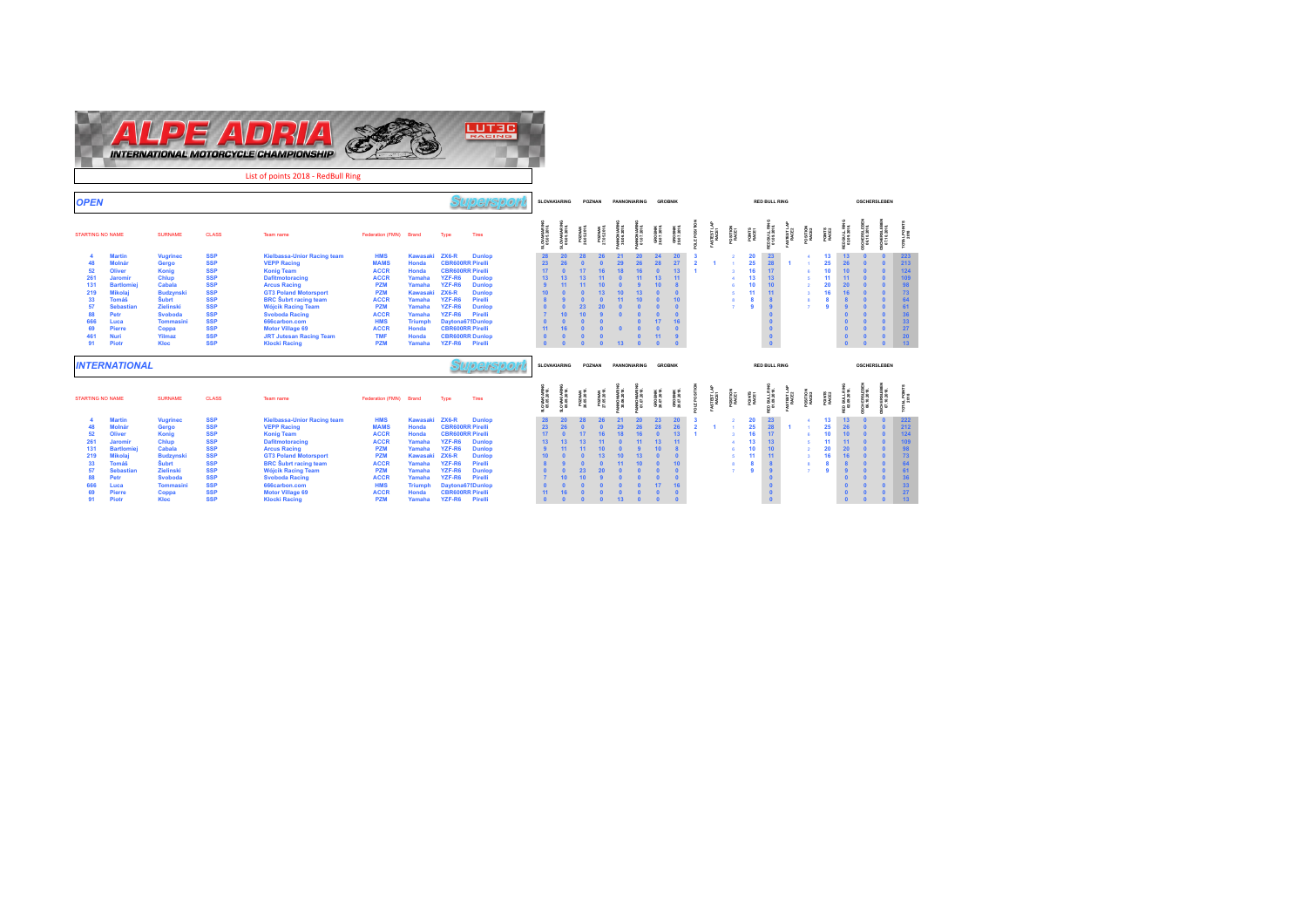

| 91  | Piotr                     | Kloc             | <b>SSP</b>   | <b>Klocki Racing</b>               | <b>PZM</b>             | Yamaha          | YZF-R6                  | Pirelli          | $\sqrt{2}$     | $\sqrt{2}$               | $\overline{\phantom{a}}$ | $\sqrt{2}$                 | 13                            | $\sqrt{2}$              |                        | $\Omega$               |                   |                   |                | $\pmb{0}$                  |                  |                   |                |                            |                     | $\Omega$                   | 13       |
|-----|---------------------------|------------------|--------------|------------------------------------|------------------------|-----------------|-------------------------|------------------|----------------|--------------------------|--------------------------|----------------------------|-------------------------------|-------------------------|------------------------|------------------------|-------------------|-------------------|----------------|----------------------------|------------------|-------------------|----------------|----------------------------|---------------------|----------------------------|----------|
|     | <b><i>TERNATIONAL</i></b> |                  |              |                                    |                        |                 |                         | 9. تا 13         |                | SLOVAKIARING             |                          | POZNAN                     |                               | PANNONIARING            | <b>GROBNIK</b>         |                        |                   |                   |                | <b>RED BULL RING</b>       |                  |                   |                |                            | <b>OSCHERSLEBEN</b> |                            |          |
|     | <b>ITING NO NAME</b>      | <b>SURNAME</b>   | <b>CLASS</b> | Team name                          | Federation (FMN) Brand |                 | Type                    | Tires            |                | OVAKIARIN<br>05.05.2018. | POZNAN<br>28.05.2018     | <b>POZNAN</b><br>7.05.2018 | <b>MONIARII</b><br>0.06.2018. | NNONIARIB<br>31.072018. | GROBNIK<br>28.07.2018. | GROBNIK<br>29.07.2018. | STESTLAI<br>RACE1 | POSITION<br>RACE1 | PONTS<br>RACE1 | 3D BULL RIN<br>01.09.2018. | STESTLA<br>RACE2 | POSITION<br>RACE2 | PONTS<br>RACE2 | ED BULL RIN<br>02.09.2018. |                     | ACHERSLE BIG<br>07.102018. | AL POINT |
|     | <b>Martin</b>             | <b>Vugrinec</b>  | <b>SSP</b>   | <b>Kielbassa-Unior Racing team</b> | <b>HMS</b>             | Kawasaki        | $ZX6-R$                 | <b>Dunlop</b>    |                |                          |                          |                            |                               |                         |                        | 20                     |                   |                   | 20             | 23                         |                  |                   | 13             |                            |                     |                            | 222      |
| 48. | <b>Molnár</b>             | Gergo            | <b>SSP</b>   | <b>VEPP Racing</b>                 | <b>MAMS</b>            | <b>Honda</b>    | <b>CBR600RR Pirelli</b> |                  | 2 <sup>2</sup> |                          |                          |                            |                               |                         |                        | 26                     |                   |                   | 25             |                            |                  |                   | 25             |                            |                     |                            | 212      |
| 52  | Oliver                    | Konia            | <b>SSP</b>   | <b>Konig Team</b>                  | <b>ACCR</b>            | Honda           | <b>CBR600RR Pirelli</b> |                  |                |                          |                          |                            |                               |                         |                        | 13                     |                   |                   | 16             |                            |                  |                   | 10             | 10 <sup>1</sup>            |                     |                            | 124      |
| 261 | <b>Jaromir</b>            | <b>Chlup</b>     | <b>SSP</b>   | <b>Dafitmotoracing</b>             | <b>ACCR</b>            | Yamaha          | YZF-R6                  | <b>Dunlop</b>    | 13             |                          |                          |                            |                               |                         |                        |                        |                   |                   | 13             | 13                         |                  |                   |                |                            |                     |                            |          |
| 131 | <b>Bartlomiej</b>         | <b>Cabala</b>    | <b>SSP</b>   | <b>Arcus Racing</b>                | <b>PZM</b>             | Yamaha          | YZF-R6                  | <b>Dunlop</b>    |                |                          |                          |                            |                               |                         | 10                     |                        |                   |                   | 10             |                            |                  |                   |                | 20 <sub>2</sub>            |                     |                            |          |
| 219 | <b>Mikolaj</b>            | <b>Budzynski</b> | <b>SSP</b>   | <b>GT3 Poland Motorsport</b>       | <b>PZM</b>             | <b>Kawasaki</b> | $ZX6-R$                 | <b>Dunlop</b>    |                |                          |                          |                            |                               |                         |                        |                        |                   |                   | 11             | 11                         |                  |                   | 16             | 16                         |                     |                            | 73       |
| 33  | Tomáš                     | <b>Subrt</b>     | <b>SSP</b>   | <b>BRC</b> Subrt racing team       | <b>ACCR</b>            | Yamaha          | YZF-R6                  | Pirelli          |                |                          |                          |                            |                               |                         |                        | 10                     |                   |                   | 8              |                            |                  |                   |                |                            |                     |                            |          |
| 57  | <b>Sebastian</b>          | <b>Zielinski</b> | <b>SSP</b>   | <b>Wójcik Racing Team</b>          | <b>PZM</b>             | Yamaha          | YZF-R6                  | <b>Dunlop</b>    |                |                          | 23 <sub>1</sub>          | 20 <sub>0</sub>            |                               |                         |                        |                        |                   |                   |                |                            |                  |                   |                |                            |                     |                            |          |
| 88  | Petr                      | <b>Svoboda</b>   | <b>SSP</b>   | <b>Svoboda Racing</b>              | <b>ACCR</b>            | Yamaha          | YZF-R6                  | Pirelli          |                |                          |                          |                            |                               |                         |                        |                        |                   |                   |                |                            |                  |                   |                |                            |                     |                            |          |
|     | Luca                      | <b>Tommasini</b> | <b>SSP</b>   | 666carbon.com                      | <b>HMS</b>             | <b>Triumph</b>  |                         | Daytona675Dunlop |                |                          |                          |                            |                               |                         |                        | 16                     |                   |                   |                |                            |                  |                   |                |                            |                     |                            | 33       |
| 69  | Pierre                    | Coppa            | <b>SSP</b>   | <b>Motor Village 69</b>            | <b>ACCR</b>            | <b>Honda</b>    | <b>CBR600RR Pirelli</b> |                  |                |                          |                          |                            |                               |                         |                        |                        |                   |                   |                |                            |                  |                   |                |                            |                     |                            | 27       |
| 91  | Piotr                     | <b>Kloc</b>      | <b>SSP</b>   | <b>Klocki Racing</b>               | <b>PZM</b>             | Yamaha          | YZF-R6                  | Pirelli          |                |                          |                          |                            |                               |                         |                        |                        |                   |                   |                |                            |                  |                   |                |                            |                     |                            | 13       |

**RED BULL RING 02.09.2018. OSCHERSLEBEN 06.10.2018. OSCHERSLEBEN 07.10.2018. TOTAL POINTS 2018**<br>2018

 $\begin{array}{ccc} 0 & 223\ 0 & 124\ 0 & 109\ 0 & 98\ 0 & 73\ 0 & 64\ 61\ 0 & 0 & 36\ 0 & 0 & 27\ 0 & 0 & 13\ \end{array}$ 

**OSCHERSLE BEN<br>07.10.2018.** 

**OSCHERSLEBEN 07.10.2018. TOTAL POINTS 2018**<br>2018<br>2018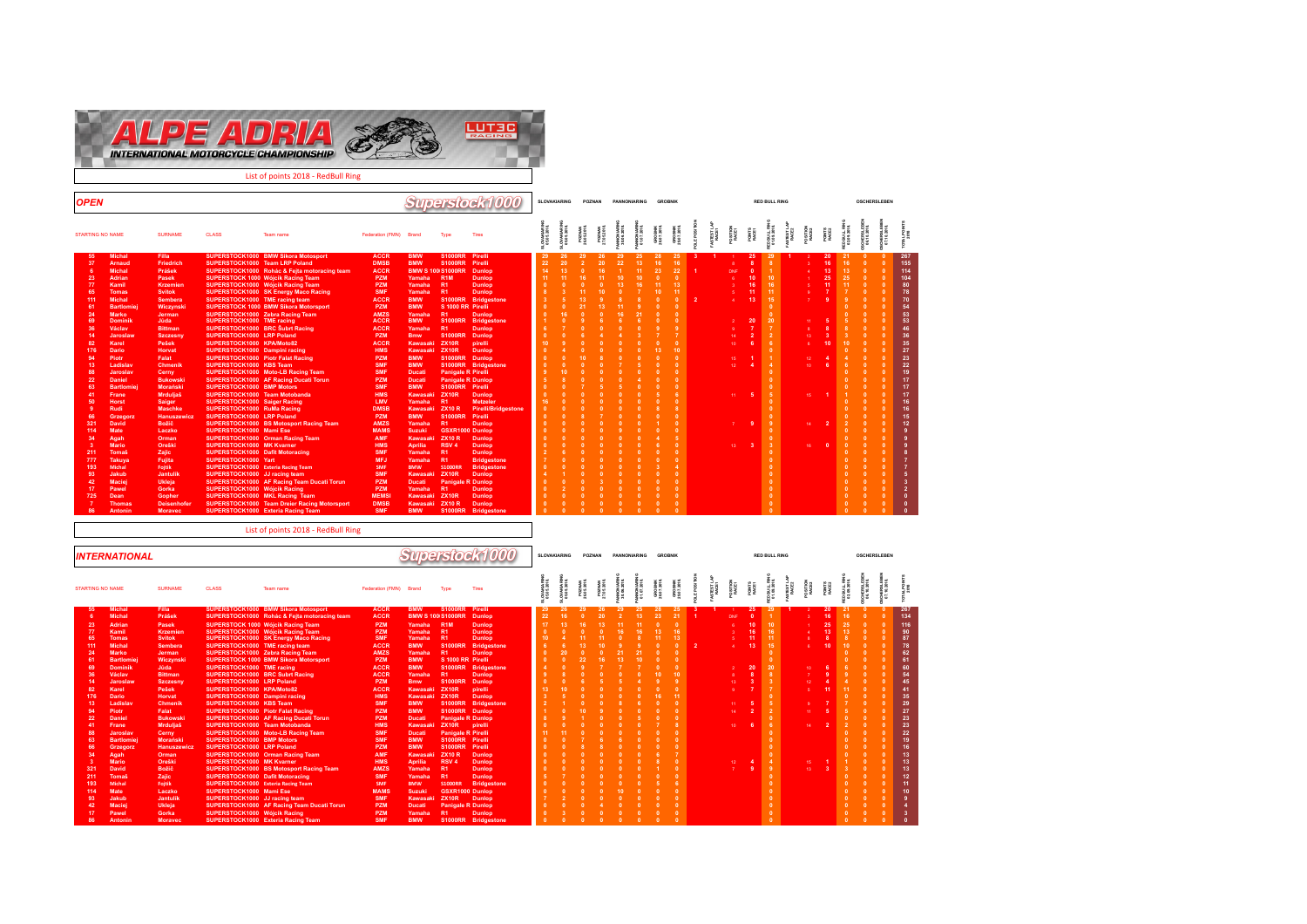

List of points 2018 - RedBull Ring

| <b>OPEN</b>                                                                                                                                                                                                                                                                                                                                                                                                                                                                                                                                                                                                                                                                                                      |                                                                                                                                                                                                                                                                                                                                                                                                                                                                                       |                                                                                                                                                                                                                                                                                                                                                                                                                                                                                                                                                                                                                                                                                                                                                     |                                                                                                                                                                                                                                                                                                                                                                                                                                                                                                                                                                               |                                                                                                                                                                                                                                                                                                                                                                                                                                                                                                              |                                                                                                                                                                                                                                                                                                                                                                                                                                                                                           |                                                                                                                                                                                                                                                                                                                                                                                                                                                                                                                                                         | Superstock1000                                                                                                                                                                                                                                                                                                                                                                                                                                                                                                                         |                | <b>SLOVAKIARING</b> | POZNAN |                | <b>PANNONIARING</b>                    |                       | <b>GROBNIK</b>                                 |                                                                                                                                                                                                                                                                                                                                                                                                   |                                |                                                                                                    |                                                                                                                                                         | <b>RED BULL RING</b>                                                                                                                                                                                                                                                                                                                                                                |                                                       |                                                    |                            | <b>OSCHERSLEBEN</b> |                                                                                                                                                                                                                                                                                                                                                                                                                                                                      |                                                                                                                                                                                                                                                                |
|------------------------------------------------------------------------------------------------------------------------------------------------------------------------------------------------------------------------------------------------------------------------------------------------------------------------------------------------------------------------------------------------------------------------------------------------------------------------------------------------------------------------------------------------------------------------------------------------------------------------------------------------------------------------------------------------------------------|---------------------------------------------------------------------------------------------------------------------------------------------------------------------------------------------------------------------------------------------------------------------------------------------------------------------------------------------------------------------------------------------------------------------------------------------------------------------------------------|-----------------------------------------------------------------------------------------------------------------------------------------------------------------------------------------------------------------------------------------------------------------------------------------------------------------------------------------------------------------------------------------------------------------------------------------------------------------------------------------------------------------------------------------------------------------------------------------------------------------------------------------------------------------------------------------------------------------------------------------------------|-------------------------------------------------------------------------------------------------------------------------------------------------------------------------------------------------------------------------------------------------------------------------------------------------------------------------------------------------------------------------------------------------------------------------------------------------------------------------------------------------------------------------------------------------------------------------------|--------------------------------------------------------------------------------------------------------------------------------------------------------------------------------------------------------------------------------------------------------------------------------------------------------------------------------------------------------------------------------------------------------------------------------------------------------------------------------------------------------------|-------------------------------------------------------------------------------------------------------------------------------------------------------------------------------------------------------------------------------------------------------------------------------------------------------------------------------------------------------------------------------------------------------------------------------------------------------------------------------------------|---------------------------------------------------------------------------------------------------------------------------------------------------------------------------------------------------------------------------------------------------------------------------------------------------------------------------------------------------------------------------------------------------------------------------------------------------------------------------------------------------------------------------------------------------------|----------------------------------------------------------------------------------------------------------------------------------------------------------------------------------------------------------------------------------------------------------------------------------------------------------------------------------------------------------------------------------------------------------------------------------------------------------------------------------------------------------------------------------------|----------------|---------------------|--------|----------------|----------------------------------------|-----------------------|------------------------------------------------|---------------------------------------------------------------------------------------------------------------------------------------------------------------------------------------------------------------------------------------------------------------------------------------------------------------------------------------------------------------------------------------------------|--------------------------------|----------------------------------------------------------------------------------------------------|---------------------------------------------------------------------------------------------------------------------------------------------------------|-------------------------------------------------------------------------------------------------------------------------------------------------------------------------------------------------------------------------------------------------------------------------------------------------------------------------------------------------------------------------------------|-------------------------------------------------------|----------------------------------------------------|----------------------------|---------------------|----------------------------------------------------------------------------------------------------------------------------------------------------------------------------------------------------------------------------------------------------------------------------------------------------------------------------------------------------------------------------------------------------------------------------------------------------------------------|----------------------------------------------------------------------------------------------------------------------------------------------------------------------------------------------------------------------------------------------------------------|
| <b>STARTING NO NAME</b>                                                                                                                                                                                                                                                                                                                                                                                                                                                                                                                                                                                                                                                                                          | <b>SURNAME</b>                                                                                                                                                                                                                                                                                                                                                                                                                                                                        | <b>CLASS</b>                                                                                                                                                                                                                                                                                                                                                                                                                                                                                                                                                                                                                                                                                                                                        | Team name                                                                                                                                                                                                                                                                                                                                                                                                                                                                                                                                                                     | Federation (FMN) Brand                                                                                                                                                                                                                                                                                                                                                                                                                                                                                       |                                                                                                                                                                                                                                                                                                                                                                                                                                                                                           | Type                                                                                                                                                                                                                                                                                                                                                                                                                                                                                                                                                    | Tires                                                                                                                                                                                                                                                                                                                                                                                                                                                                                                                                  |                | OVAKIA5             |        |                |                                        |                       |                                                |                                                                                                                                                                                                                                                                                                                                                                                                   |                                |                                                                                                    |                                                                                                                                                         |                                                                                                                                                                                                                                                                                                                                                                                     |                                                       |                                                    |                            |                     |                                                                                                                                                                                                                                                                                                                                                                                                                                                                      |                                                                                                                                                                                                                                                                |
| <b>Michal</b><br>55<br>37<br>Arnaud<br>-6<br><b>Michal</b><br>23<br>Adrian<br>77<br>Kamil<br>65<br><b>Tomas</b><br>111<br><b>Michal</b><br>61<br><b>Bartlomiei</b><br>24<br><b>Marko</b><br>69<br><b>Dominik</b><br>36<br>Václav<br>14<br>Jaroslaw<br>82<br>Karel<br>176<br><b>Dario</b><br>94<br>Piotr<br>13<br>Ladislav<br>88<br>Jaroslav<br>22<br><b>Daniel</b><br>63<br><b>Bartlomiei</b><br>41<br>Frane<br>50<br><b>Horst</b><br>Rudi<br>66<br>Grzegorz<br>321<br><b>David</b><br>114<br>Mate<br>34<br>Agah<br>-3<br><b>Mario</b><br>211<br>Tomaš<br>777<br>Takuva<br>193<br>Michal<br>93<br>Jakub<br>42<br><b>Maciej</b><br>17<br>Pawel<br>725<br>Dean<br>$\overline{7}$<br><b>Thomas</b><br>86<br>Antonin | <b>Filla</b><br>Friedrich<br>Prášek<br>Pasek<br><b>Krzemien</b><br><b>Svitok</b><br><b>Sembera</b><br>Wiczynski<br>Jerman<br>Jûda<br><b>Bittman</b><br><b>Szczesny</b><br>Pešek<br>Horvat<br>Falat<br><b>Chmenik</b><br>Cerny<br><b>Bukowski</b><br><b>Morański</b><br>Mrduljaš<br>Saiger<br><b>Maschke</b><br><b>Hanuszewicz</b><br>Božič<br>Laczko<br>Orman<br>Oreški<br>Zajic<br>Fujita<br>Fojtik<br>Jantulik<br>Ukleja<br>Gorka<br>Gopher<br><b>Deisenhofer</b><br><b>Moravec</b> | SUPERSTOCK1000 Team LRP Poland<br>SUPERSTOCK1000 TME racing team<br>SUPERSTOCK1000 Zebra Racing Team<br>SUPERSTOCK1000 TME racing<br>SUPERSTOCK1000 BRC Šubrt Racing<br>SUPERSTOCK1000 LRP Poland<br>SUPERSTOCK1000 KPA/Moto82<br>SUPERSTOCK1000 Dampini racing<br>SUPERSTOCK1000 Piotr Falat Racing<br>SUPERSTOCK1000 KBS Team<br>SUPERSTOCK1000 BMP Motors<br>SUPERSTOCK1000 Team Motobanda<br>SUPERSTOCK1000 Saiger Racing<br>SUPERSTOCK1000 RuMa Racing<br>SUPERSTOCK1000 LRP Poland<br>SUPERSTOCK1000 Mami Ese<br>SUPERSTOCK1000 MK Kvarner<br>SUPERSTOCK1000 Dafit Motoracing<br>SUPERSTOCK1000 Yart<br>SUPERSTOCK1000 Exteria Racing Team<br>SUPERSTOCK1000 JJ racing team<br>SUPERSTOCK1000 Wóicik Racing<br>SUPERSTOCK1000 MKL Racing Team | SUPERSTOCK1000 BMW Sikora Motosport<br>SUPERSTOCK1000 Rohác & Fejta motoracing team<br><b>SUPERSTOCK 1000 Wójcik Racing Team</b><br>SUPERSTOCK1000 Wójcik Racing Team<br>SUPERSTOCK1000 SK Energy Maco Racing<br><b>SUPERSTOCK 1000 BMW Sikora Motorsport</b><br>SUPERSTOCK1000 Moto-LB Racing Team<br>SUPERSTOCK1000 AF Racing Ducati Torun<br><b>SUPERSTOCK1000 BS Motosport Racing Team</b><br>SUPERSTOCK1000 Orman Racing Team<br>SUPERSTOCK1000 AF Racing Team Ducati Torun<br><b>SUPERSTOCK1000 Team Dreier Racing Motorsport</b><br>SUPERSTOCK1000 Exteria Racing Team | <b>ACCR</b><br><b>DMSB</b><br><b>ACCR</b><br><b>PZM</b><br><b>PZM</b><br><b>SMF</b><br><b>ACCR</b><br><b>PZM</b><br><b>AMZS</b><br><b>ACCR</b><br><b>ACCR</b><br><b>PZM</b><br><b>ACCR</b><br><b>HMS</b><br><b>PZM</b><br><b>SMF</b><br><b>SMF</b><br><b>PZM</b><br><b>SMF</b><br><b>HMS</b><br>LMV<br><b>DMSB</b><br><b>PZM</b><br><b>AMZS</b><br><b>MAMS</b><br><b>AMF</b><br><b>HMS</b><br><b>SMF</b><br><b>MFJ</b><br>SMF<br><b>SMF</b><br>PZM<br><b>PZM</b><br><b>MEMS</b><br><b>DMSB</b><br><b>SMF</b> | <b>BMW</b><br><b>BMW</b><br>Yamaha<br>Yamaha<br>Yamaha<br><b>BMW</b><br><b>BMW</b><br>Yamaha<br><b>BMW</b><br>Yamaha<br><b>Bmw</b><br>Kawasaki<br>Kawasaki<br><b>BMW</b><br><b>BMW</b><br><b>Ducati</b><br><b>Ducati</b><br><b>BMW</b><br>Kawasaki<br>Yamaha<br>Kawasaki ZX10 R<br><b>BMW</b><br>Yamaha<br><b>Suzuki</b><br><b>Kawasaki</b><br><b>Aprilia</b><br>Yamaha<br>Yamaha<br><b>BMW</b><br>Kawasaki<br><b>Ducati</b><br>Yamaha<br>Kawasaki ZX10R<br>Kawasaki ZX10 R<br><b>BMW</b> | S1000RR Pirelli<br><b>S1000RR</b><br><b>BMW S 100 S1000RR</b><br>R <sub>1</sub> M<br>R1<br><b>R1</b><br>S 1000 RR Pirelli<br>R1<br><b>S1000RR</b><br><b>R1</b><br><b>S1000RR</b><br>ZX10R<br><b>ZX10R</b><br><b>S1000RR</b><br><b>Panigale R Pirelli</b><br><b>Panigale R Dunlop</b><br>S1000RR Pirelli<br><b>ZX10R</b><br>R <sub>1</sub><br><b>S1000RR</b><br><b>R1</b><br><b>GSXR1000 Dunlop</b><br><b>ZX10 R</b><br>RSV <sub>4</sub><br><b>R1</b><br><b>R1</b><br><b>S1000RR</b><br><b>ZX10R</b><br><b>Panigale R Dunlop</b><br>R1<br><b>S1000RR</b> | Pirelli<br><b>Dunlop</b><br><b>Dunlop</b><br><b>Dunlop</b><br><b>Dunlop</b><br>S1000RR Bridgestone<br><b>Dunlop</b><br><b>Bridgestone</b><br><b>Dunlop</b><br><b>Dunlop</b><br>pirelli<br><b>Dunlop</b><br><b>Dunlop</b><br>S1000RR Bridgestone<br><b>Dunlop</b><br><b>Metzeler</b><br><b>Pirelli/Bridgestone</b><br>Pirelli<br><b>Dunlop</b><br><b>Dunlop</b><br><b>Dunlop</b><br><b>Dunlop</b><br><b>Bridgestone</b><br><b>Bridgestone</b><br><b>Dunlop</b><br><b>Dunlop</b><br><b>Dunlop</b><br><b>Dunlop</b><br><b>Bridgestone</b> | 29<br>22<br>14 | 26<br>20            | 29     | 26<br>20<br>16 | 29<br>22<br>10<br>13<br>16<br>$\Omega$ | 25<br>13 <sup>°</sup> | 28<br>16<br>23<br>11<br>10.<br>13.<br>$\Omega$ | 25<br>16<br>22<br>$\sqrt{2}$<br>13<br>-11<br>$\Omega$<br>$\mathbf{0}$<br>9 <sup>°</sup><br>$\Omega$<br>10<br>$\mathbf{0}$<br>$\Omega$<br>$\mathbf{0}$<br>$\sqrt{2}$<br>$\mathbf{0}$<br>-6<br>$\sqrt{2}$<br>$\mathbf{R}$<br>$\sqrt{2}$<br>$\sqrt{2}$<br>$\sqrt{2}$<br>$\sqrt{2}$<br>$\sqrt{2}$<br>$\mathbf{0}$<br>$\mathbf{0}$<br>$\sqrt{2}$<br>$\sqrt{2}$<br>$\mathbf{0}$<br>$\Omega$<br>$\Omega$ | $\mathbf{3}$<br>$\overline{2}$ | DNE<br>a.<br>$\mathbf{p}$<br>$\bullet$<br>48.<br>10<br>15<br>12<br>44.1<br>$\mathcal{F}$<br>$13 -$ | 25<br>$\mathbf{R}$<br>$\sqrt{2}$<br>10<br>16<br>11<br>13<br>20<br>$\overline{\phantom{a}}$<br>-6<br>$\mathbf{A}$<br>-5<br>-9<br>$\overline{\mathbf{3}}$ | 29<br>10<br>16<br>11<br>15<br>$\sqrt{2}$<br>$\Omega$<br>20<br>$\overline{7}$<br>$\overline{2}$<br>6<br>$\sqrt{2}$<br>$\boldsymbol{A}$<br>o<br>$\overline{0}$<br>$\Omega$<br>5<br>$\mathbf{0}$<br>$\sqrt{2}$<br>$\Omega$<br>$\alpha$<br>$\Omega$<br>$\Omega$<br>$\Omega$<br>$\Omega$<br>$\sqrt{2}$<br>$\Omega$<br>$\sqrt{2}$<br>$\Omega$<br>$\Omega$<br>$\mathbf{0}$<br>$\mathbf{0}$ | 44.<br>xa.<br>12.<br>10<br>$15 - 1$<br>14<br>$16 \ 0$ | 20<br>16<br>13<br>25<br>11<br>10<br>$\overline{2}$ | 21<br>16<br>13<br>25<br>11 |                     | - 0<br>$\sqrt{2}$<br>$\sqrt{2}$<br>$\sqrt{2}$<br>$\sqrt{2}$<br>$\sqrt{2}$<br>$\sqrt{2}$<br>$\sqrt{2}$<br>$\sqrt{2}$<br>$\sqrt{2}$<br>$\sqrt{2}$<br>$\sqrt{2}$<br>$\sqrt{2}$<br>$\Omega$<br>$\sqrt{2}$<br>$\sqrt{2}$<br>$\sqrt{2}$<br>$\sqrt{2}$<br>$\Omega$<br>$\sqrt{2}$<br>$\Omega$<br>$\sqrt{2}$<br>$\sqrt{2}$<br>$\sqrt{2}$<br>$\sqrt{2}$<br>$\sqrt{2}$<br>$\sqrt{2}$<br>$\sqrt{2}$<br>$\Omega$<br>$\sqrt{2}$<br>$\Omega$<br>$\Omega$<br>$\bullet$<br>$\sqrt{2}$ | 267<br>155<br>114<br>104<br>80<br>78<br>70<br>54<br>53<br>53<br>46<br>36 <sub>1</sub><br>35<br>27<br>23<br>22<br>19<br>17<br>17<br>17<br>16<br>16<br>15<br>12<br>$\mathbf{a}$<br>$\mathbf{a}$<br>$\overline{7}$<br>5<br>$\mathbf{0}$<br>$\Omega$<br>$\sqrt{2}$ |

|                                                                                                                                                    | <b>INTERNATIONAL</b>                                                                                                                                                                                                                                                                                                                           |                                                                                                                                                                                                                                                                                                                                                   |                                                                                                                                                                                                                                                                                                                                                                                                                                                                                                            |                                                                                                                                                                                                                                                                                                                                                                                                                                                                                             |                                                                                                                                                                                                                                                                                                                                                                     |                                                                                                                                                                                                                                                                                                                                                |                                                                                                                                                                                                                                                                                                                                                                                                      | Superstock1000                                                                                                                                                                                                                                                                                          |                                   | SLOVAKIARING |          | POZNAN     |            | <b>PANNONIARING</b> |            | <b>GROBNIK</b> |                |                   |                                  |                                                                                                         | <b>RED BULL RING</b>                                                                                                                                                              |                  |                                   |                                                    |                            | <b>OSCHERSLEBEN</b> |                                                                                                                                                             |
|----------------------------------------------------------------------------------------------------------------------------------------------------|------------------------------------------------------------------------------------------------------------------------------------------------------------------------------------------------------------------------------------------------------------------------------------------------------------------------------------------------|---------------------------------------------------------------------------------------------------------------------------------------------------------------------------------------------------------------------------------------------------------------------------------------------------------------------------------------------------|------------------------------------------------------------------------------------------------------------------------------------------------------------------------------------------------------------------------------------------------------------------------------------------------------------------------------------------------------------------------------------------------------------------------------------------------------------------------------------------------------------|---------------------------------------------------------------------------------------------------------------------------------------------------------------------------------------------------------------------------------------------------------------------------------------------------------------------------------------------------------------------------------------------------------------------------------------------------------------------------------------------|---------------------------------------------------------------------------------------------------------------------------------------------------------------------------------------------------------------------------------------------------------------------------------------------------------------------------------------------------------------------|------------------------------------------------------------------------------------------------------------------------------------------------------------------------------------------------------------------------------------------------------------------------------------------------------------------------------------------------|------------------------------------------------------------------------------------------------------------------------------------------------------------------------------------------------------------------------------------------------------------------------------------------------------------------------------------------------------------------------------------------------------|---------------------------------------------------------------------------------------------------------------------------------------------------------------------------------------------------------------------------------------------------------------------------------------------------------|-----------------------------------|--------------|----------|------------|------------|---------------------|------------|----------------|----------------|-------------------|----------------------------------|---------------------------------------------------------------------------------------------------------|-----------------------------------------------------------------------------------------------------------------------------------------------------------------------------------|------------------|-----------------------------------|----------------------------------------------------|----------------------------|---------------------|-------------------------------------------------------------------------------------------------------------------------------------------------------------|
| <b>STARTING NO NAME</b>                                                                                                                            |                                                                                                                                                                                                                                                                                                                                                | <b>SURNAME</b>                                                                                                                                                                                                                                                                                                                                    | <b>CLASS</b>                                                                                                                                                                                                                                                                                                                                                                                                                                                                                               | Team name                                                                                                                                                                                                                                                                                                                                                                                                                                                                                   | Federation (FMN) Brand                                                                                                                                                                                                                                                                                                                                              |                                                                                                                                                                                                                                                                                                                                                | Type                                                                                                                                                                                                                                                                                                                                                                                                 | Tires                                                                                                                                                                                                                                                                                                   |                                   |              |          |            |            |                     |            |                |                | STEST LJ<br>RACE1 | <b>OSITON</b><br>RACE1           | POINTS<br>RACE1                                                                                         | D BULL<br>11.09.20                                                                                                                                                                | STEST L<br>RACE2 |                                   |                                                    |                            |                     |                                                                                                                                                             |
| 55<br>23<br>77<br>65<br>111<br>24<br>61<br>69<br>36<br>14<br>82<br>176<br>13<br>94<br>22<br>41<br>88<br>63<br>66<br>34<br>321<br>211<br>193<br>114 | <b>Michal</b><br><b>Michal</b><br>Adrian<br>Kamil<br><b>Tomas</b><br><b>Michal</b><br><b>Marko</b><br><b>Bartlomie</b><br><b>Dominik</b><br>Václav<br>Jaroslaw<br>Karel<br>Dario<br>Ladislav<br><b>Piotr</b><br><b>Daniel</b><br>Frane<br>Jaroslav<br><b>Bartlomie</b><br>Grzegorz<br>Agah<br>Mario<br>David<br><b>Tomaš</b><br>Michal<br>Mate | <b>Filla</b><br>Prášek<br>Pasek<br><b>Krzemien</b><br><b>Svitok</b><br>Sembera<br>Jerman<br>Wiczynski<br>Jûda<br><b>Bittman</b><br><b>Szczesny</b><br>Pešek<br>Horvat<br><b>Chmenik</b><br>Falat<br><b>Bukowski</b><br>Mrduljaš<br>Cerny<br><b>Morański</b><br><b>Hanuszewicz</b><br>Orman<br>Oreški<br>Božič<br>Zajic<br><b>Foltik</b><br>Laczko | SUPERSTOCK1000 TME racing team<br>SUPERSTOCK1000 TME racing<br><b>SUPERSTOCK1000 BRC Subrt Racing</b><br>SUPERSTOCK1000 LRP Poland<br>SUPERSTOCK1000 KPA/Moto82<br>SUPERSTOCK1000 Dampini racing<br>SUPERSTOCK1000 KBS Team<br><b>SUPERSTOCK1000 Piotr Falat Racing</b><br>SUPERSTOCK1000 Team Motobanda<br>SUPERSTOCK1000 BMP Motors<br>SUPERSTOCK1000 LRP Poland<br>SUPERSTOCK1000 MK Kvarner<br><b>SUPERSTOCK1000 Dafit Motoracing</b><br>SUPERSTOCK1000 Exteria Racing Team<br>SUPERSTOCK1000 Mami Ese | <b>SUPERSTOCK1000 BMW Sikora Motosport</b><br>SUPERSTOCK1000 Rohác & Fejta motoracing team<br><b>SUPERSTOCK 1000 Wóicik Racing Team</b><br><b>SUPERSTOCK1000 Wójcik Racing Team</b><br><b>SUPERSTOCK1000 SK Energy Maco Racing</b><br>SUPERSTOCK1000 Zebra Racing Team<br><b>SUPERSTOCK 1000 BMW Sikora Motorsport</b><br>SUPERSTOCK1000 AF Racing Ducati Torun<br>SUPERSTOCK1000 Moto-LB Racing Team<br>SUPERSTOCK1000 Orman Racing Team<br><b>SUPERSTOCK1000 BS Motosport Racing Team</b> | <b>ACCR</b><br><b>ACCR</b><br><b>PZM</b><br><b>PZM</b><br><b>SMF</b><br><b>ACCR</b><br>AMZS<br><b>PZM</b><br><b>ACCR</b><br><b>ACCR</b><br><b>PZM</b><br><b>ACCR</b><br><b>HMS</b><br><b>SMF</b><br><b>PZM</b><br><b>PZM</b><br><b>HMS</b><br><b>SMF</b><br><b>SMF</b><br><b>PZM</b><br><b>AMF</b><br><b>HMS</b><br><b>AMZS</b><br><b>SMF</b><br>SMF<br><b>MAMS</b> | <b>BMW</b><br>Yamaha<br>Yamaha<br>Yamaha<br><b>BMW</b><br>Yamaha<br><b>BMW</b><br><b>BMW</b><br>Yamaha<br><b>Bmw</b><br>Kawasaki ZX10R<br>Kawasaki ZX10R<br><b>BMW</b><br><b>BMW</b><br><b>Ducati</b><br>Kawasaki<br><b>Ducati</b><br><b>BMW</b><br><b>BMW</b><br>Kawasal<br><b>Aprilia</b><br>Yamaha<br>Yamaha<br><b>BMW</b><br><b>Suzuki</b> | S1000RR Pirelli<br>BMW S 100 S1000RR Dunlop<br><b>R1M</b><br><b>R1</b><br><b>R1</b><br><b>S1000RR</b><br>R1<br>S 1000 RR Pirelli<br><b>R1</b><br><b>S1000RR</b><br>S1000RR Dunlop<br><b>Panigale R Dunlop</b><br><b>ZX10R</b><br>Panigale R Pirelli<br>S1000RR Pirelli<br>S1000RR Pirelli<br><b>ZX10 R</b><br>RSV <sub>4</sub><br><b>R1</b><br><b>R1</b><br><b>S1000RR</b><br><b>GSXR1000 Dunlop</b> | <b>Dunlop</b><br><b>Dunlop</b><br><b>Dunlop</b><br><b>Bridgestone</b><br><b>Dunlop</b><br>S1000RR Bridgestone<br><b>Dunlop</b><br><b>Dunlop</b><br>pirelli<br><b>Dunlop</b><br>S1000RR Bridgestone<br>pirelli<br><b>Dunlop</b><br><b>Dunlop</b><br><b>Dunlop</b><br><b>Dunlop</b><br><b>Bridgestone</b> | 22<br>17<br>10<br>13 <sub>1</sub> | 16           |          |            |            | 25<br>13            | 23         |                | $\overline{2}$ |                   | DNF<br>14 <sup>1</sup><br>$10-1$ | 25<br>10 <sup>1</sup><br>16<br>11<br>13<br>20<br>$\overline{\phantom{a}}$<br>-5<br>$\overline{2}$<br>-6 | 10<br>16<br>11 <sub>1</sub><br>15<br>$\mathbf{0}$<br>$\mathbf{0}$<br>20<br>$\mathbf{R}$<br>$\mathbf{3}$<br>$\mathbf{0}$<br>5 <sup>7</sup><br>$\overline{2}$<br>$\mathbf{0}$<br>-9 |                  | 10<br>12.<br>$14 -$<br>18.<br>13. | 20<br>16<br>25<br>13<br>10<br>11<br>$\overline{2}$ | 16<br>25<br>13<br>10<br>11 |                     | 267<br>134<br>116<br>90<br>87<br>78<br>62<br>61<br>60<br>54<br>45<br>41<br>35<br>29<br>27<br>23<br>23<br>22<br>19<br>16<br>13<br>13<br>13<br>12<br>11<br>10 |
| 93<br>42<br>17<br>86                                                                                                                               | Jakub<br>Maciej<br>Pawel<br>Antonin                                                                                                                                                                                                                                                                                                            | Jantulik<br>Ukleja<br>Gorka<br><b>Moravec</b>                                                                                                                                                                                                                                                                                                     | SUPERSTOCK1000 JJ racing team<br>SUPERSTOCK1000 Wóicik Racing                                                                                                                                                                                                                                                                                                                                                                                                                                              | SUPERSTOCK1000 AF Racing Team Ducati Torun<br>SUPERSTOCK1000 Exteria Racing Team                                                                                                                                                                                                                                                                                                                                                                                                            | <b>SMF</b><br><b>PZM</b><br><b>PZM</b><br><b>SMF</b>                                                                                                                                                                                                                                                                                                                | Kawasaki<br><b>Ducati</b><br>Yamaha<br><b>BMW</b>                                                                                                                                                                                                                                                                                              | ZX10R<br><b>Panigale R Dunlop</b>                                                                                                                                                                                                                                                                                                                                                                    | <b>Dunlop</b><br><b>Dunlop</b><br>S1000RR Bridgestone                                                                                                                                                                                                                                                   | $\sqrt{2}$                        | $\mathbf{a}$ | $\Omega$ | $\sqrt{2}$ | $\sqrt{2}$ | $\mathbf{a}$        | $\sqrt{2}$ |                |                |                   |                                  |                                                                                                         | $\mathbf{a}$                                                                                                                                                                      |                  |                                   |                                                    |                            | $\sqrt{2}$          |                                                                                                                                                             |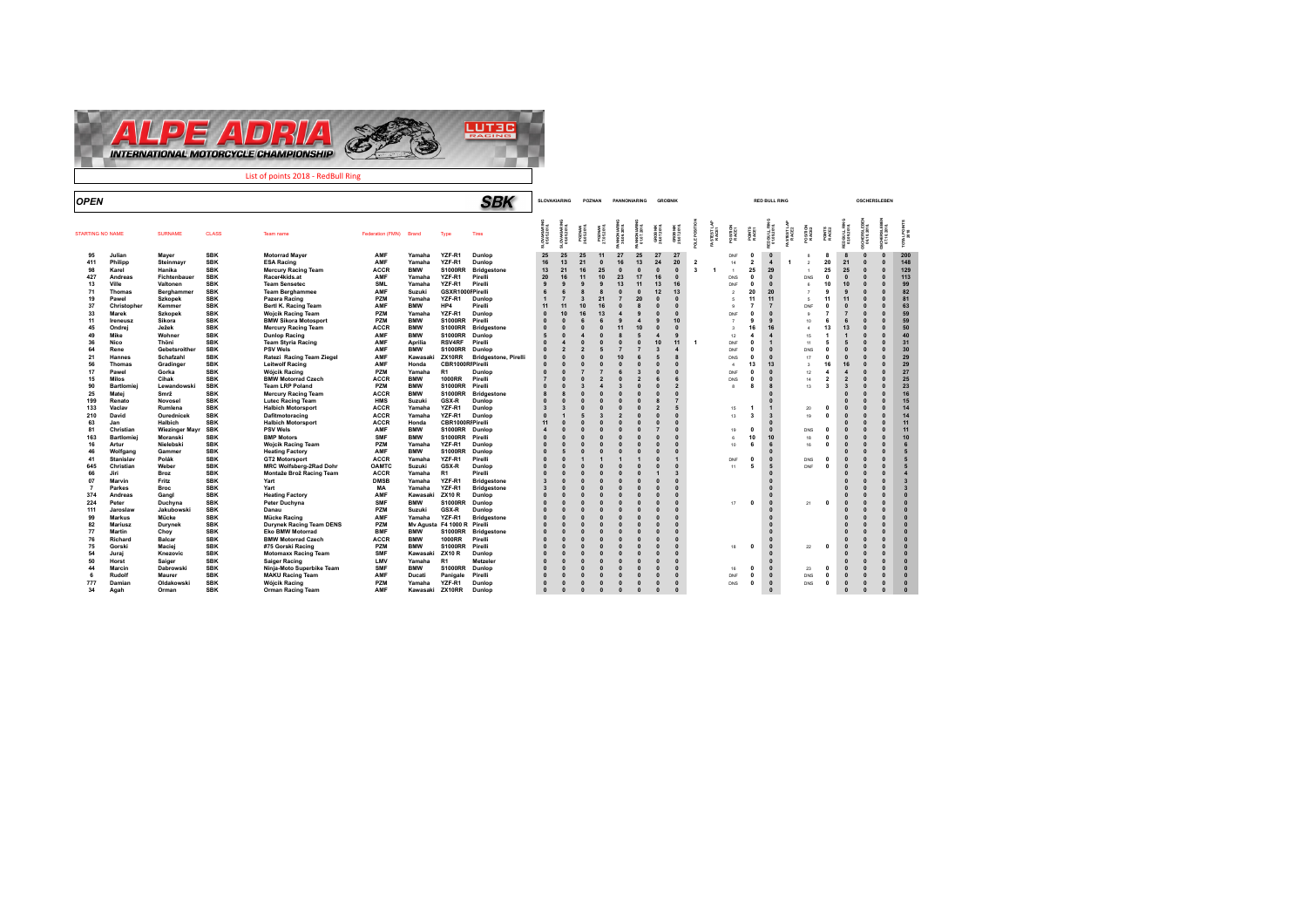

| <b>OPEN</b>             |                   |                    |                          |                                                            |                           |                          |                                 | <i><b>SBK</b></i>           |                          | SLOVAKIARING           |                             | POZNAN       | PANNONIARING                   |                         | <b>GROBNIK</b>        |                |                |                   |                  |                         | <b>RED BULL RING</b>                           |                      |                |                         |                         | <b>OSCHERSLEBEN</b>    |                          |                              |
|-------------------------|-------------------|--------------------|--------------------------|------------------------------------------------------------|---------------------------|--------------------------|---------------------------------|-----------------------------|--------------------------|------------------------|-----------------------------|--------------|--------------------------------|-------------------------|-----------------------|----------------|----------------|-------------------|------------------|-------------------------|------------------------------------------------|----------------------|----------------|-------------------------|-------------------------|------------------------|--------------------------|------------------------------|
| <b>STARTING NO NAME</b> |                   | <b>SURNAME</b>     | <b>CLASS</b>             | Team name                                                  | Federation (FMN)          | Brand                    | Type                            | Tires                       | OVAKIARIN<br>05.05.2018. | VAKIARIIN<br>05.2018.  | <b>POZMAN</b><br>26.05.2018 |              | NNO NARI<br>30.06.2018.        |                         | GROBNIK<br>28.07.2018 |                |                | STEST LA<br>RACE1 |                  |                         | ann<br>Wa                                      | STEST LA<br>RACE2    |                |                         |                         |                        | ЖÑ                       | TOTAL POINT                  |
| 95                      | Julian            | Maver              | <b>SBK</b>               | <b>Motorrad Maver</b>                                      | AMF                       | Yamaha                   | YZF-R1                          | Dunlop                      | 25                       | 25                     | 25                          | 11           | 27                             | 25                      | 27                    | 27             |                |                   | DNF              | $\Omega$                | $\Omega$                                       |                      |                | 8                       |                         | $\Omega$               | $\Omega$                 | 200                          |
| 411                     | Philipp           | Steinmavr          | <b>SBK</b>               | <b>ESA Racing</b>                                          | AMF                       | Yamaha                   | YZF-R1                          | Dunlop                      | 16                       | 13                     | 21                          | $\Omega$     | 16                             | 13                      | 24                    | 20             | $\overline{2}$ |                   | 14               | $\overline{2}$          | $\overline{4}$                                 | $\blacktriangleleft$ | $\overline{2}$ | 20                      | 21                      | $\Omega$               | $\sqrt{2}$               | 148                          |
| 98                      | Karel             | Hanika             | <b>SBK</b>               | Mercury Racing Team                                        | <b>ACCR</b>               | <b>BMW</b>               | <b>S1000RR</b>                  | <b>Bridgestone</b>          | 13                       | 21                     | 16                          | 25           | $\Omega$                       | $\Omega$                | $\Omega$              | $\Omega$       | $\mathbf{3}$   | $\mathbf{A}$      | $\overline{1}$   | 25                      | 29                                             |                      |                | 25                      | 25                      | $\Omega$               | $\sqrt{2}$               | 129                          |
| 427                     | Andreas           | Fichtenbauer       | <b>SBK</b>               | Racer4kids.at                                              | AMF                       | Yamaha                   | YZF-R1                          | Pirelli                     | 20                       | 16                     | 11                          | 10           | 23                             | 17                      | 16                    | $\sqrt{2}$     |                |                   | DNS              | $\Omega$                | $\Omega$                                       |                      | DNS            | $\Omega$                | $\Omega$                | $\Omega$               | $\sqrt{2}$               | 113                          |
| 13                      | Ville             | Valtonen           | <b>SBK</b>               | <b>Team Sensetec</b>                                       | <b>SML</b>                | Yamaha                   | YZF-R1                          | Pirelli                     | 9                        | $\mathbf{9}$           | 9                           | $\mathbf{9}$ | 13                             | 11                      | 13                    | 16             |                |                   | DNF              | $\Omega$                | $\Omega$                                       |                      |                | 10                      | 10                      | $\Omega$               | $\Omega$                 | 99                           |
| 71                      | <b>Thomas</b>     | Berghammer         | <b>SBK</b>               | <b>Team Berghammee</b>                                     | AMF                       | Suzuki                   | GSXR1000FPirelli                |                             | 6                        |                        |                             |              | $\Omega$                       | $\Omega$                | 12                    | 13             |                |                   | $\overline{ }$   | 20                      | 20                                             |                      | $\overline{z}$ | 9                       | $\mathbf{g}$            | $\Omega$               | $\sqrt{2}$               | 82                           |
| 19                      | Pawel             | <b>Szkopek</b>     | <b>SBK</b>               | Pazera Racing                                              | PZM                       | Yamaha                   | YZF-R1                          | Dunlop                      |                          |                        | $\overline{3}$              | 21           | $\overline{7}$                 | 20                      | $\mathbf{0}$          | $\sqrt{2}$     |                |                   | R.               | 11                      | 11                                             |                      |                | 11                      | 11                      | $\Omega$               | $\sqrt{2}$               | 81                           |
| 37                      | Christopher       | Kemmer             | <b>SBK</b>               | Bertl K. Racing Team                                       | AMF                       | <b>BMW</b>               | HP4                             | Pirelli                     | 11                       | 11                     | 10                          |              | $\sqrt{2}$                     |                         |                       |                |                |                   | $\mathbf{Q}$     |                         | $\overline{7}$                                 |                      | DNE            | n                       | $\sqrt{2}$              | $\sqrt{2}$             |                          | 63                           |
| 33                      | <b>Marek</b>      | <b>Szkopek</b>     | <b>SBK</b>               | <b>Wojcik Racing Team</b>                                  | PZM                       | Yamaha                   | YZF-R1                          | Dunlop                      | $\Omega$                 | 10                     | 16                          |              | $\boldsymbol{4}$               |                         | $\mathbf{0}$          | $\Omega$       |                |                   | DNF              | $\mathbf{0}$            | $\Omega$                                       |                      |                | $\overline{7}$          | $\overline{7}$          | $\Omega$               | $\sqrt{2}$               | 59                           |
| 11                      | Ireneusz          | <b>Sikora</b>      | <b>SBK</b>               | <b>BMW Sikora Motosport</b>                                | <b>PZM</b>                | <b>BMW</b>               | <b>S1000RR</b>                  | Pirelli                     | $\Omega$                 |                        |                             |              |                                |                         | g                     | 10             |                |                   | $\overline{2}$   | 9                       | 9                                              |                      | 10             | 6                       | 6                       | $\Omega$<br>$\sqrt{2}$ | $\sqrt{2}$               | 59                           |
| 45                      | Ondrej            | Ježek              | <b>SBK</b>               | <b>Mercury Racing Team</b>                                 | <b>ACCR</b>               | <b>BMW</b>               | <b>S1000RR</b>                  | <b>Bridgestone</b>          |                          |                        |                             |              | 11                             | 10<br>$\overline{a}$    |                       | $\sqrt{2}$     |                |                   | A.               | 16                      | 16                                             |                      |                | 13                      | 13                      | $\sqrt{2}$             |                          | 50                           |
| 49<br>36                | Mike              | Wohner<br>Thöni    | <b>SBK</b><br><b>SBK</b> | <b>Dunlop Racing</b>                                       | AMF<br>AMF                | <b>BMW</b><br>Aprilia    | <b>S1000RR</b>                  | Dunlop<br>Pirelli           | 5<br>$\mathbf{0}$        | $\boldsymbol{\Lambda}$ | $\Omega$                    |              |                                | $\Omega$                | $\overline{A}$<br>10  | 11             | -1             |                   | 12<br>DNF        | 4<br>$\Omega$           | $\boldsymbol{\Lambda}$<br>$\blacktriangleleft$ |                      | 15<br>11       | 5                       | 5                       | $\Omega$               | $\sqrt{2}$<br>$\sqrt{2}$ | 40<br>31                     |
| 64                      | Nico<br>Rene      | Gebetsroither      | <b>SBK</b>               | <b>Team Styria Racing</b><br><b>PSV Wels</b>               | AMF                       | <b>BMW</b>               | <b>RSV4RF</b><br><b>S1000RR</b> | Dunlop                      | $\Omega$                 |                        | $\overline{2}$              |              | $\mathbf{0}$<br>$\overline{7}$ |                         | $\overline{3}$        |                |                |                   | DNF              | $\mathbf{0}$            | $\Omega$                                       |                      | <b>DNS</b>     | o                       | $\Omega$                | $\Omega$               |                          | 30                           |
| 21                      | Hannes            | Schafzahl          | <b>SBK</b>               | Ratezi Racing Team Ziegel                                  | AMF                       | Kawasaki                 | ZX10RR                          | <b>Bridgestone, Pirelli</b> | $\Omega$                 | $\sqrt{2}$             |                             |              | 10                             |                         |                       |                |                |                   | DNS              | $\Omega$                | $\Omega$                                       |                      | 17             | $\Omega$                | $\Omega$                | $\Omega$               | $\sqrt{2}$               | 29                           |
| 56                      | <b>Thomas</b>     | Gradinger          | <b>SBK</b>               | <b>Leitwolf Racing</b>                                     | AMF                       | Honda                    | CBR1000RIPirelli                |                             | $\Omega$                 |                        | $\sqrt{2}$                  |              | $\Omega$                       |                         | $\mathbf{0}$          |                |                |                   | <b>A</b>         | 13                      | 13                                             |                      | $\mathbf{a}$   | 16                      | 16                      | $\Omega$               |                          | 29                           |
| 17                      | Pawel             | Gorka              | <b>SBK</b>               | Wójcik Racing                                              | <b>PZM</b>                | Yamaha                   | R <sub>1</sub>                  | Dunlop                      | $\Omega$                 | $\sqrt{2}$             |                             |              | 6                              | $\overline{\mathbf{3}}$ | $\mathbf{0}$          |                |                |                   | DNF              | $\mathbf{0}$            | $\Omega$                                       |                      | 12             | $\blacktriangle$        | $\overline{\mathbf{A}}$ | $\Omega$               | $\sqrt{2}$               | 27                           |
| 15                      | <b>Milos</b>      | Cihak              | <b>SBK</b>               | <b>BMW Motorrad Czech</b>                                  | <b>ACCR</b>               | <b>BMW</b>               | <b>1000RR</b>                   | Pirelli                     |                          |                        |                             |              |                                |                         |                       |                |                |                   | DNS              | $\mathbf{0}$            | $\Omega$                                       |                      | 14             | $\overline{\mathbf{2}}$ | $\overline{2}$          | $\Omega$               |                          | 25                           |
| 90                      | <b>Bartlomiei</b> | Lewandowski        | <b>SBK</b>               | <b>Team LRP Poland</b>                                     | PZM                       | <b>BMW</b>               | <b>S1000RR</b>                  | Pirelli                     |                          |                        |                             |              |                                |                         |                       | $\overline{2}$ |                |                   | $\mathbf{a}$     | 8                       | $\mathbf{a}$                                   |                      | 13             | $\overline{\mathbf{3}}$ | $\overline{\mathbf{3}}$ | $\Omega$               |                          | 23                           |
| 25                      | Matei             | Smrž               | <b>SBK</b>               | <b>Mercury Racing Team</b>                                 | <b>ACCR</b>               | <b>BMW</b>               | <b>S1000RR</b>                  | <b>Bridgestone</b>          |                          |                        |                             |              |                                |                         |                       |                |                |                   |                  |                         | $\Omega$                                       |                      |                |                         | $\Omega$                | $\sqrt{2}$             |                          | 16                           |
| 199                     | Renato            | Novosel            | <b>SBK</b>               | <b>Lutec Racing Team</b>                                   | <b>HMS</b>                | Suzuki                   | <b>GSX-R</b>                    | Dunlop                      | $\Omega$                 | $\sqrt{2}$             |                             |              | $\Omega$                       |                         |                       |                |                |                   |                  |                         | $\Omega$                                       |                      |                |                         | $\Omega$                | $\Omega$               | $\sqrt{2}$               | 15                           |
| 133                     | Vaclay            | Rumlena            | <b>SBK</b>               | <b>Halbich Motorsport</b>                                  | <b>ACCR</b>               | Yamaha                   | YZF-R1                          | Dunlop                      | $\overline{3}$           |                        |                             |              |                                |                         | $\overline{2}$        |                |                |                   | 15               |                         | $\mathbf{1}$                                   |                      | 20             | $\Omega$                | $\Omega$                | $\Omega$               |                          | 14                           |
| 210                     | David             | Ourednicek         | <b>SBK</b>               | Dafitmotoracing                                            | <b>ACCR</b>               | Yamaha                   | YZF-R1                          | Dunlop                      | $\Omega$                 |                        | 馬                           |              |                                |                         |                       |                |                |                   | 13               | $\overline{\mathbf{3}}$ | $\overline{3}$                                 |                      | 19             | $\Omega$                | $\Omega$                | $\sqrt{ }$             | $\sqrt{2}$               | 14                           |
| 63                      | Jan               | Halbich            | <b>SBK</b>               | <b>Halbich Motorsport</b>                                  | <b>ACCR</b>               | Honda                    | CBR1000RIPirelli                |                             | 11                       |                        |                             |              | n                              |                         |                       |                |                |                   |                  |                         | $\Omega$                                       |                      |                |                         | $\Omega$                | $\Omega$               |                          | 11                           |
| 81                      | Christian         | Wiezinger Mayr     | <b>SBK</b>               | <b>PSV Wels</b>                                            | AMF                       | <b>BMW</b>               | <b>S1000RR</b>                  | Dunlop                      |                          |                        |                             |              |                                |                         |                       |                |                |                   | 19               | $\mathbf{0}$            | $\Omega$                                       |                      | <b>DNS</b>     | $\Omega$                | $\Omega$                | $\Omega$               | $\sqrt{2}$               | 11                           |
| 163                     | <b>Bartlomiei</b> | <b>Moranski</b>    | <b>SBK</b>               | <b>BMP Motors</b>                                          | <b>SMF</b>                | <b>BMW</b>               | <b>S1000RR</b>                  | Pirelli                     | $\Omega$                 |                        |                             |              |                                |                         |                       |                |                |                   | R.               | 10                      | 10                                             |                      | 18             | $\mathbf{0}$            | $\Omega$                | $\mathbf{0}$           |                          | 10                           |
| 16                      | Artur             | Nielebski          | <b>SBK</b>               | <b>Wojcik Racing Team</b>                                  | <b>PZM</b>                | Yamaha                   | YZF-R1                          | Dunlop                      | $\sqrt{2}$               |                        |                             |              | n                              |                         |                       |                |                |                   | 10 <sub>10</sub> | 6                       | 6                                              |                      | 16             | $\Omega$                | $\sqrt{2}$              | $\sqrt{2}$             |                          | 6                            |
| 46                      | Wolfgang          | Gammer             | <b>SBK</b>               | <b>Heating Factory</b>                                     | AMF                       | <b>BMW</b>               | <b>S1000RR</b>                  | Dunlop                      | $\Omega$                 |                        |                             |              |                                |                         |                       |                |                |                   |                  |                         | $\Omega$                                       |                      |                |                         |                         | $\Omega$               |                          | 5                            |
| 41                      | <b>Stanislav</b>  | Polák              | <b>SBK</b>               | <b>GT2 Motorsport</b>                                      | <b>ACCR</b>               | Yamaha                   | YZF-R1                          | Pirelli                     | $\Omega$                 |                        |                             |              |                                |                         | $\mathbf{0}$          |                |                |                   | DNF              | $\mathbf{0}$            | $\Omega$                                       |                      | DNS            | $\Omega$                | $\Omega$                | $\Omega$               | $\sqrt{2}$               | 5                            |
| 645                     | Christian         | Weber              | <b>SBK</b>               | <b>MRC Wolfsberg-2Rad Dohr</b>                             | OAMTC                     | Suzuki                   | GSX-R                           | Dunlop                      | $\Omega$                 |                        |                             |              |                                |                         |                       |                |                |                   | 11               | 5                       | $\overline{5}$                                 |                      | DNF            | $\Omega$                |                         | $\Omega$               |                          | 5                            |
| 66                      | Jiri              | Broz               | <b>SBK</b>               | Montaže Brož Racing Team                                   | <b>ACCR</b>               | Yamaha                   | R <sub>1</sub>                  | Pirelli                     | $\Omega$                 |                        |                             |              |                                |                         |                       |                |                |                   |                  |                         | $\Omega$                                       |                      |                |                         | $\Omega$                | $\sqrt{2}$             |                          | $\overline{4}$               |
| 07                      | <b>Marvin</b>     | Fritz              | <b>SBK</b>               | Yart                                                       | <b>DMSB</b>               | Yamaha                   | YZF-R1                          | <b>Bridgestone</b>          | $\overline{3}$           |                        |                             |              | $\Omega$                       |                         | $\mathbf{0}$          |                |                |                   |                  |                         | $\Omega$                                       |                      |                |                         | $\Omega$                | $\Omega$               | $\sqrt{2}$               | $\overline{3}$               |
| $\overline{7}$          | Parkes            | <b>Broc</b>        | <b>SBK</b>               | Yart                                                       | MA                        | Yamaha                   | YZF-R1                          | <b>Bridgestone</b>          | $\overline{3}$           |                        |                             |              |                                |                         |                       |                |                |                   |                  |                         | $\Omega$                                       |                      |                |                         | $\Omega$                | $\Omega$               |                          | $\overline{3}$               |
| 374                     | Andreas           | Gangl              | <b>SBK</b>               | <b>Heating Factory</b>                                     | AMF                       | Kawasaki                 | <b>ZX10 R</b>                   | Dunlop                      | $\Omega$                 |                        |                             |              |                                |                         |                       |                |                |                   |                  |                         | $\Omega$                                       |                      |                |                         | $\Omega$                | $\Omega$               | $\sqrt{2}$               | $\mathbf{0}$                 |
| 224                     | Peter             | Duchyna            | <b>SBK</b>               | <b>Peter Duchyna</b>                                       | <b>SMF</b>                | <b>BMW</b>               | <b>S1000RR</b>                  | Dunlop                      | $\Omega$                 |                        | $\sqrt{2}$                  |              | $\Omega$                       |                         | $\sqrt{2}$            |                |                |                   | 17               | $\mathbf{0}$            | $\Omega$                                       |                      | 21             | $\Omega$                | $\Omega$                | $\Omega$               |                          | $\Omega$                     |
| 111                     | Jaroslaw          | Jakubowski         | <b>SBK</b>               | Danau                                                      | PZM                       | Suzuki                   | GSX-R                           | Dunlop                      |                          |                        |                             |              | n                              |                         | $\sqrt{2}$            |                |                |                   |                  |                         | $\Omega$                                       |                      |                |                         |                         | $\Omega$               | $\sqrt{2}$               | $\overline{0}$               |
| 99                      | <b>Markus</b>     | Mücke              | <b>SBK</b>               | <b>Mücke Racing</b>                                        | AMF                       | Yamaha                   | YZF-R1                          | <b>Bridgestone</b>          | $\Omega$                 |                        |                             |              |                                |                         |                       |                |                |                   |                  |                         | $\Omega$                                       |                      |                |                         | $\Omega$                | $\Omega$               |                          | $\mathbf{0}$                 |
| 82                      | <b>Mariusz</b>    | Durynek            | <b>SBK</b>               | <b>Durynek Racing Team DENS</b><br><b>Eko BMW Motorrad</b> | <b>PZM</b><br><b>BMF</b>  |                          | My Agusta F4 1000 R Pirelli     |                             | $\Omega$                 |                        | $\sqrt{2}$                  |              |                                |                         |                       |                |                |                   |                  |                         | $\Omega$                                       |                      |                |                         | $\sqrt{2}$              | $\Omega$<br>$\sqrt{2}$ | $\sqrt{2}$<br>$\sqrt{2}$ | $\mathbf{0}$<br>$\mathbf{0}$ |
| 77                      | Martin            | Choy               | <b>SBK</b>               |                                                            |                           | <b>BMW</b>               | <b>S1000RR</b>                  | <b>Bridgestone</b>          | $\Omega$                 |                        |                             |              |                                |                         |                       |                |                |                   |                  |                         | $\Omega$                                       |                      |                |                         | $\Omega$                |                        |                          |                              |
| 76                      | Richard           | <b>Balcar</b>      | <b>SBK</b><br><b>SBK</b> | <b>BMW Motorrad Czech</b>                                  | <b>ACCR</b><br><b>PZM</b> | <b>BMW</b><br><b>BMW</b> | <b>1000RR</b><br><b>S1000RR</b> | Pirelli<br>Pirelli          | $\Omega$<br>$\Omega$     | $\sqrt{2}$             |                             |              | $\Omega$                       |                         | $\sqrt{2}$            |                |                |                   |                  | $\mathbf 0$             | $\Omega$<br>$\mathbf{0}$                       |                      |                | $\Omega$                | $\Omega$                | $\Omega$<br>$\Omega$   | $\sqrt{2}$               | $\Omega$<br>$\overline{0}$   |
| 75<br>54                | Gorski            | Maciej<br>Knezovic | <b>SBK</b>               | #75 Gorski Racing<br><b>Motomaxx Racing Team</b>           | <b>SMF</b>                | Kawasaki                 | <b>ZX10 R</b>                   | Dunlop                      | $\Omega$                 |                        |                             |              |                                |                         |                       |                |                |                   | 18               |                         | $\Omega$                                       |                      | $22\,$         |                         | $\Omega$                | $\Omega$               | $\sqrt{2}$               | $\mathbf{0}$                 |
| 50                      | Jurai<br>Horst    | Saiger             | <b>SBK</b>               | <b>Saiger Racing</b>                                       | LMV                       | Yamaha                   | R <sub>1</sub>                  | Metzeler                    | $\Omega$                 |                        | $\Omega$                    |              | $\Omega$                       |                         | $\mathbf{0}$          |                |                |                   |                  |                         | $\Omega$                                       |                      |                |                         | $\Omega$                | $\Omega$               | $\Omega$                 | $\Omega$                     |
| 44                      | Marcin            | Dabrowski          | <b>SBK</b>               | Ninia-Moto Superbike Team                                  | <b>SMF</b>                | <b>BMW</b>               | <b>S1000RR</b>                  | Dunlop                      | $\Omega$                 |                        |                             |              | $\Omega$                       |                         | $\mathbf{0}$          |                |                |                   | 16               | $\Omega$                | $\Omega$                                       |                      | 23             | $\Omega$                | $\Omega$                | $\Omega$               | $\Omega$                 | $\mathbf{0}$                 |
| 6                       | Rudolf            | Maurer             | <b>SBK</b>               | <b>MAKU Racing Team</b>                                    | AMF                       | Ducati                   | Panigale                        | Pirelli                     | $\Omega$                 |                        |                             |              |                                |                         | $\mathbf{0}$          |                |                |                   | DNF              | $\mathbf 0$             | $\Omega$                                       |                      | <b>DNS</b>     | $\Omega$                | $\Omega$                | $\Omega$               | $\Omega$                 | $\Omega$                     |
| 777                     | Damian            | Oldakowski         | <b>SBK</b>               | Wóicik Racing                                              | <b>PZM</b>                | Yamaha                   | YZF-R1                          | Dunlop                      | $\Omega$                 | $\sqrt{2}$             | $\Omega$                    | $\sqrt{2}$   | $\Omega$                       | $\Omega$                | $\Omega$              | $\Omega$       |                |                   | DNS              | $\Omega$                | $\Omega$                                       |                      | <b>DNS</b>     | $\Omega$                | $\Omega$                | $\Omega$               | $\Omega$                 | $\Omega$                     |
| 34                      | Agah              | Orman              | <b>SBK</b>               | <b>Orman Racing Team</b>                                   | AMF                       | Kawasaki                 | ZX10RR                          | Dunlop                      | $\Omega$                 | $\Omega$               | $\Omega$                    | $\Omega$     | $\Omega$                       | $\Omega$                | $\Omega$              | $\Omega$       |                |                   |                  |                         | $\Omega$                                       |                      |                |                         | $\Omega$                | $\Omega$               | $\Omega$                 | $\Omega$                     |
|                         |                   |                    |                          |                                                            |                           |                          |                                 |                             |                          |                        |                             |              |                                |                         |                       |                |                |                   |                  |                         |                                                |                      |                |                         |                         |                        |                          |                              |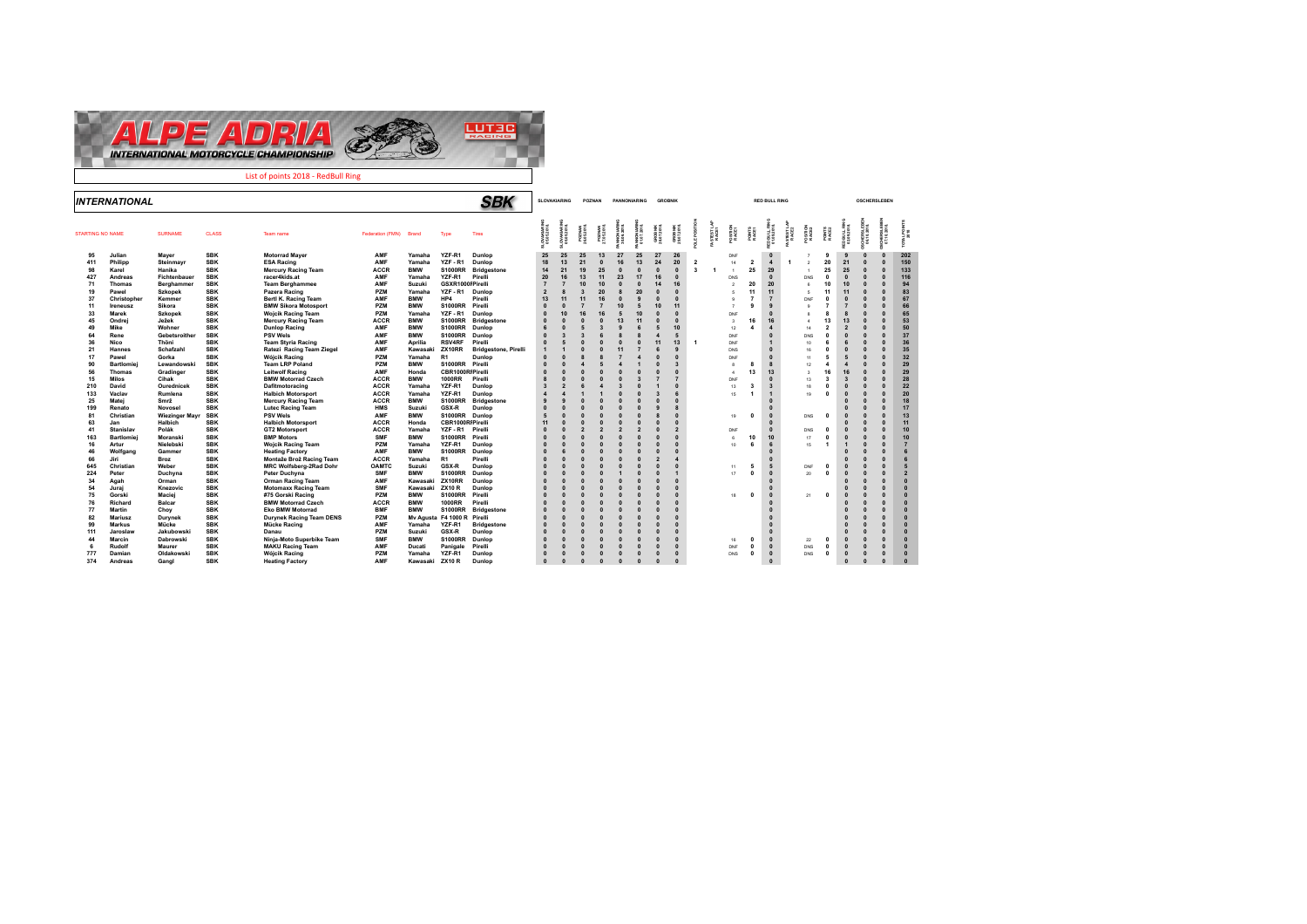

|                         | <b>INTERNATIONAL</b>     |                   |                          |                                                |                     |                      |                                 | SBK                  |                          | <b>SLOVAKIARING</b>      |                      | POZNAN                      | PANNONIARING           |                |                        | <b>GROBNIK</b>         |                       |                           |                          |                   | <b>RED BULL RING</b> |                          |                |                            |                         | <b>OSCHERSLEBEN</b> |                      |                      |
|-------------------------|--------------------------|-------------------|--------------------------|------------------------------------------------|---------------------|----------------------|---------------------------------|----------------------|--------------------------|--------------------------|----------------------|-----------------------------|------------------------|----------------|------------------------|------------------------|-----------------------|---------------------------|--------------------------|-------------------|----------------------|--------------------------|----------------|----------------------------|-------------------------|---------------------|----------------------|----------------------|
| <b>STARTING NO NAME</b> |                          | <b>SURNAME</b>    | <b>CLASS</b>             | Team name                                      | Federation (FMN)    | Brand                | Type                            | <b>Tires</b>         | OVAKIARIN<br>05.05.2018. | OVAKIARIN<br>05.05.2018. | POZWAN<br>16.05.2018 | <b>POZWAN</b><br>27.05.2018 | NNONARIN<br>30.06.2018 |                | GROBNIK<br>29.07.2018. |                        |                       | <b>ISTEST LA</b><br>RACE1 | PO SITION<br>RACE1       | POINTS<br>RACE1   | <b>BULL</b>          | <b>STEST LA</b><br>RACEZ |                | POINTS<br>RACE2            |                         |                     | 종량                   | $\frac{8}{8}$        |
| 95                      | Julian                   | Mayer             | <b>SBK</b>               | <b>Motorrad Maver</b>                          | AMF                 | Yamaha               | YZF-R1                          | Dunlop               | 25                       | 25                       | 25                   | 13                          | 27                     | 25             | 27                     | 26                     |                       |                           | DNF                      |                   | $\Omega$             |                          |                | 9                          |                         |                     | $\Omega$             | 202                  |
| 411                     | Philipp                  | Steinmavr         | <b>SBK</b>               | <b>ESA Racing</b>                              | AMF                 | Yamaha               | YZF-R1                          | Dunlop               | 18                       | 13                       | 21                   | $\Omega$                    | 16                     | 13             | 24                     | 20                     | $\overline{2}$        |                           | 14                       | $\overline{2}$    | $\overline{4}$       |                          | $\mathfrak{p}$ | 20                         | 21                      | $\Omega$            | $\Omega$             | 150                  |
| 98                      | Karel                    | Hanika            | <b>SBK</b>               | <b>Mercury Racing Team</b>                     | <b>ACCR</b>         | <b>BMW</b>           | <b>S1000RR</b>                  | <b>Bridgestone</b>   | 14                       | 21                       | 19                   | 25                          |                        |                | $\Omega$               | $\Omega$               | $\mathbf{\mathbf{R}}$ | -1                        | $\overline{\phantom{a}}$ | 25                | 29                   |                          |                | 25                         | 25                      |                     | $\Omega$             | 133                  |
| 427                     | Andreas                  | Fichtenbauer      | <b>SBK</b>               | racer4kids.at                                  | AMF                 | Yamaha               | YZF-R1                          | Pirelli              | 20                       |                          | 13                   | 11                          | 23                     | 17             | 16                     | $\Omega$               |                       |                           | DNS                      |                   | $\Omega$             |                          | <b>DNS</b>     | $\Omega$                   | $\Omega$                |                     | $\Omega$             | 116                  |
| 71                      | <b>Thomas</b>            | Berghammer        | <b>SBK</b>               | <b>Team Berghammee</b>                         | AMF                 | Suzuki               | GSXR1000FPirelli                |                      |                          |                          |                      | 10                          |                        |                |                        | 16                     |                       |                           | $\mathfrak{p}$           | 20                | 20                   |                          | <b>R</b>       | 10                         | 10                      |                     | $\Omega$             | 94                   |
| 19                      | Pawel                    | <b>Szkopek</b>    | <b>SBK</b>               | Pazera Racing                                  | PZM                 | Yamaha               | YZF-R1                          | Dunlop               | $\overline{2}$           |                          |                      | 20                          |                        |                |                        | $\Omega$               |                       |                           | κ                        | 11                | 11                   |                          | 5              | 11                         | 11                      | $\Omega$            | $\Omega$             | 83                   |
| 37                      | Christopher              | Kemmer            | <b>SBK</b>               | Bertl K. Racing Team                           | AMF                 | <b>BMW</b>           | HP4                             | Pirelli              | 13                       |                          |                      | 16                          |                        |                |                        | $\sqrt{2}$             |                       |                           |                          |                   | $\overline{7}$       |                          | DNF            | $\Omega$                   | $\mathbf 0$             |                     | $\Omega$             | 67                   |
| 11                      | Ireneusz                 | Sikora            | <b>SBK</b>               | <b>BMW Sikora Motosport</b>                    | PZM                 | <b>BMW</b>           | <b>S1000RR</b>                  | Pirelli              |                          |                          |                      |                             | 10                     |                |                        | 11                     |                       |                           | $\mathbf{z}$             | 9                 | 9                    |                          | $\Omega$       | $\overline{7}$             | $\overline{7}$          |                     | $\Omega$             | 66                   |
| 33                      | <b>Marek</b>             | <b>Szkopek</b>    | <b>SBK</b>               | <b>Wojcik Racing Team</b>                      | PZM                 | Yamaha               | YZF-R1                          | Dunlop               |                          |                          |                      | 16                          |                        |                |                        | $\Omega$               |                       |                           | DNF                      |                   | $\sqrt{2}$           |                          |                |                            | 8                       |                     | $\Omega$             | 65                   |
| 45                      | Ondrei                   | Ježek             | <b>SBK</b>               | <b>Mercury Racing Team</b>                     | <b>ACCR</b>         | <b>BMW</b>           | <b>S1000RR</b>                  | <b>Bridgestone</b>   |                          |                          |                      |                             | 13                     | 11             |                        | $\sqrt{2}$             |                       |                           | $\mathcal{R}$            | 16                | 16                   |                          | $\Delta$       | 13                         | 13                      |                     | $\Omega$             | 53                   |
| 49                      | Mike                     | Wohner            | <b>SBK</b>               | <b>Dunlop Racing</b>                           | AMF                 | <b>BMW</b>           | <b>S1000RR</b>                  | Dunlop               |                          |                          |                      | 3                           |                        |                |                        | 10                     |                       |                           | 12                       |                   | $\overline{4}$       |                          | 14             | $\overline{2}$             | $\overline{2}$          |                     | $\Omega$             | 50                   |
| 64                      | Rene                     | Gebetsroither     | <b>SBK</b>               | <b>PSV Wels</b>                                | AMF                 | <b>BMW</b>           | <b>S1000RR</b>                  | Dunlop               | $\Omega$                 |                          |                      |                             |                        |                |                        | 5                      |                       |                           | DNF                      |                   | $\Omega$             |                          | <b>DNS</b>     | $\Omega$                   | $\Omega$                |                     | $\Omega$             | 37                   |
| 36                      | Nico                     | Thöni             | <b>SBK</b>               | <b>Team Styria Racing</b>                      | AMF                 | Aprilia              | <b>RSV4RF</b>                   | Pirelli              |                          |                          |                      | $\mathbf{0}$                |                        |                | 11                     | 13                     | $\blacktriangleleft$  |                           | DNF                      |                   |                      |                          | 10             |                            | 6                       | $\sqrt{2}$          | $\Omega$             | 36                   |
| 21                      | <b>Hannes</b>            | Schafzahl         | <b>SBK</b>               | Ratezi Racing Team Ziegel                      | AMF                 | Kawasaki             | ZX10RR                          | Bridgestone, Pirelli |                          |                          |                      |                             | 11                     |                |                        | ç                      |                       |                           | <b>DNS</b>               |                   |                      |                          | 16             | $\Omega$                   | $\Omega$                |                     | $\sqrt{2}$           | 35                   |
| 17                      | Pawel                    | Gorka             | <b>SBK</b>               | <b>Wójcik Racing</b>                           | PZM                 | Yamaha               | <b>R1</b>                       | Dunlop               |                          |                          |                      | 8                           |                        | $\overline{a}$ |                        | $\Omega$               |                       |                           | DNF                      |                   | $\Omega$             |                          | 11             | 5                          | 5                       | $\Omega$            |                      | 32                   |
| 90                      | <b>Bartlomiei</b>        | Lewandowski       | <b>SBK</b>               | <b>Team LRP Poland</b>                         | PZM                 | <b>BMW</b>           | S1000RR Pirelli                 |                      | $\Omega$                 |                          |                      |                             |                        |                |                        | ß,                     |                       |                           |                          |                   | $\mathbf{a}$         |                          | 12             | $\overline{a}$             | $\overline{a}$          |                     | $\sqrt{2}$           | 29                   |
| 56                      | <b>Thomas</b>            | Gradinger         | <b>SBK</b>               | <b>Leitwolf Racing</b>                         | AMF                 | Honda                | CBR1000RIPirelli                |                      | $\sqrt{2}$               |                          |                      | $\sqrt{2}$                  |                        |                |                        | $\sqrt{2}$             |                       |                           | $\Delta$                 | 13                | 13                   |                          | $\lambda$      | 16                         | 16                      | $\sqrt{2}$          |                      | 29                   |
| 15                      | Milos                    | Cihak             | <b>SBK</b>               | <b>BMW Motorrad Czech</b>                      | <b>ACCR</b>         | <b>BMW</b>           | <b>1000RR</b>                   | Pirelli              |                          |                          |                      |                             |                        |                |                        |                        |                       |                           | DNF                      |                   | $\Omega$             |                          | 13             | $\overline{\mathbf{3}}$    | $\overline{3}$          |                     | $\sqrt{2}$           | 28                   |
| 210                     | David                    | Ourednicek        | <b>SBK</b>               | Dafitmotoracing                                | <b>ACCR</b>         | Yamaha               | YZF-R1                          | Dunlop               | $\overline{3}$           | $\overline{\phantom{a}}$ |                      | $\boldsymbol{A}$            | $\overline{3}$         |                |                        | $\Omega$               |                       |                           | 13                       | 2                 | $\overline{3}$       |                          | 18             | $\Omega$                   | $\Omega$                |                     | $\Omega$             | 22                   |
| 133                     | Vaclav                   | Rumlena           | <b>SBK</b>               | <b>Halbich Motorsport</b>                      | <b>ACCR</b>         | Yamaha               | YZF-R1                          | Dunlop               |                          |                          |                      |                             |                        |                |                        |                        |                       |                           | 15                       |                   |                      |                          | 19             | $\sqrt{2}$                 | $\Omega$                |                     | $\Omega$             | 20                   |
| 25                      | Matei                    | Smrž              | <b>SBK</b>               | <b>Mercury Racing Team</b>                     | <b>ACCR</b>         | <b>BMW</b>           | <b>S1000RR</b>                  | <b>Bridgestone</b>   |                          | c                        |                      | $\sqrt{2}$                  |                        |                |                        | $\sqrt{2}$             |                       |                           |                          |                   |                      |                          |                |                            |                         |                     | $\sqrt{2}$           | 18                   |
| 199                     | Renato                   | Novosel           | <b>SBK</b>               | <b>Lutec Racing Team</b>                       | <b>HMS</b>          | Suzuki               | GSX-R                           | Dunlop               | $\sqrt{2}$               |                          |                      |                             |                        |                |                        |                        |                       |                           |                          |                   | $\Omega$             |                          |                |                            |                         |                     | $\sqrt{2}$           | 17                   |
| 81                      | Christian                | Wiezinger Mayr    | <b>SBK</b>               | <b>PSV Wels</b>                                | AMF                 | <b>BMW</b>           | S1000RR Dunlop                  |                      | 5                        |                          |                      | $\sqrt{2}$                  |                        |                |                        | $\Omega$               |                       |                           | 19                       | $\mathbf 0$       | $\Omega$             |                          | <b>DNS</b>     | $\Omega$                   |                         | $\Omega$            | $\Omega$             | 13                   |
| 63                      | Jan                      | Halbich           | <b>SBK</b>               | <b>Halbich Motorsport</b>                      | <b>ACCR</b>         | Honda                | CBR1000RIPirelli                |                      | 11                       |                          |                      |                             |                        |                |                        | $\sqrt{2}$             |                       |                           |                          |                   | $\Omega$<br>$\Omega$ |                          |                |                            |                         |                     | $\Omega$             | 11                   |
| 41                      | <b>Stanislav</b>         | Polák             | <b>SBK</b>               | <b>GT2 Motorsport</b>                          | <b>ACCR</b>         | Yamaha               | YZF-R1                          | Pirelli              | $\Omega$                 |                          |                      | $\overline{2}$              | $\overline{2}$         |                |                        | $\overline{2}$         |                       |                           | DNF                      |                   |                      |                          | <b>DNS</b>     | $\Omega$                   | $\Omega$                | $\Omega$            | $\Omega$             | 10                   |
| 163                     | <b>Bartlomiei</b>        | Moranski          | <b>SBK</b>               | <b>BMP Motors</b>                              | <b>SMF</b>          | <b>BMW</b>           | <b>S1000RR</b>                  | Pirelli              | $\Omega$                 |                          |                      |                             |                        |                |                        | $\Omega$               |                       |                           | R.                       | 10                | 10                   |                          | 17             | $\Omega$<br>$\overline{1}$ | $\overline{\mathbf{0}}$ |                     | $\Omega$             | 10                   |
| 16                      | Artur                    | Nielebski         | <b>SBK</b>               | <b>Wojcik Racing Team</b>                      | PZM<br>AMF          | Yamaha               | YZF-R1                          | Dunlop               | $\Omega$                 |                          |                      | $\mathbf{0}$                |                        |                |                        | $\Omega$<br>$\sqrt{2}$ |                       |                           | 10                       | 6                 | 6                    |                          | 15             |                            | $\overline{1}$          | $\Omega$            | $\Omega$             | $\overline{7}$       |
| 46                      | Wolfgang                 | Gammer            | <b>SBK</b>               | <b>Heating Factory</b>                         |                     | <b>BMW</b>           | <b>S1000RR</b>                  | Dunlop               |                          |                          |                      |                             |                        |                |                        |                        |                       |                           |                          |                   | $\Omega$             |                          |                |                            |                         |                     | $\Omega$             |                      |
| 66                      | Jiri                     | Broz              | <b>SBK</b>               | Montaže Brož Racing Team                       | <b>ACCR</b>         | Yamaha               | <b>R1</b>                       | Pirelli              | $\Omega$                 |                          |                      |                             |                        |                |                        | $\Delta$               |                       |                           |                          |                   |                      |                          |                |                            |                         | $\mathbf{0}$        | $\Omega$             |                      |
| 645<br>224              | Christian<br>Peter       | Weber<br>Duchyna  | <b>SBK</b><br><b>SBK</b> | MRC Wolfsberg-2Rad Dohr                        | OAMTC<br><b>SMF</b> | Suzuki<br><b>BMW</b> | <b>GSX-R</b><br><b>S1000RR</b>  | Dunlop<br>Dunlop     |                          |                          |                      |                             |                        |                |                        | $\Omega$               |                       |                           | 11<br>17                 | 5<br>$\mathbf{0}$ | 5<br>$\Omega$        |                          | DNF<br>20      | $\Omega$<br>$\mathbf{0}$   | $\Omega$<br>$\Omega$    | $\mathbf{0}$        | $\Omega$<br>$\Omega$ | $\overline{2}$       |
|                         |                          |                   | <b>SBK</b>               | Peter Duchyna                                  | AMF                 |                      | ZX10RR                          |                      |                          |                          |                      |                             |                        |                |                        | $\sqrt{2}$             |                       |                           |                          |                   |                      |                          |                |                            |                         |                     |                      |                      |
| 34                      | Agah                     | Orman<br>Knezovic | <b>SBK</b>               | <b>Orman Racing Team</b>                       | <b>SMF</b>          | Kawasaki<br>Kawasaki |                                 | Dunlop<br>Dunlop     |                          |                          |                      |                             |                        |                |                        | $\sqrt{2}$             |                       |                           |                          |                   | $\Omega$             |                          |                |                            | $\Omega$                | $\sqrt{ }$          | $\Omega$<br>$\Omega$ | $\Omega$<br>$\Omega$ |
| 54<br>75                | Juraj<br>Gorski          | Maciei            | <b>SBK</b>               | <b>Motomaxx Racing Team</b>                    | PZM                 | <b>BMW</b>           | <b>ZX10 R</b><br><b>S1000RR</b> | Pirelli              |                          |                          |                      |                             |                        |                |                        | $\Omega$               |                       |                           |                          | $\mathbf{0}$      | $\Omega$             |                          |                | $\mathbf{0}$               | $\Omega$                |                     | $\Omega$             | $\overline{0}$       |
| 76                      | Richard                  | Balcar            | <b>SBK</b>               | #75 Gorski Racing<br><b>BMW Motorrad Czech</b> | <b>ACCR</b>         | <b>BMW</b>           | <b>1000RR</b>                   | Pirelli              |                          |                          |                      |                             |                        |                |                        | $\Omega$               |                       |                           | 18                       |                   | $\Omega$             |                          | 21             |                            |                         |                     |                      | $\Omega$             |
| 77                      |                          |                   | <b>SBK</b>               | <b>Eko BMW Motorrad</b>                        | <b>BMF</b>          | <b>BMW</b>           | <b>S1000RR</b>                  |                      |                          |                          |                      |                             |                        |                |                        | $\sqrt{2}$             |                       |                           |                          |                   |                      |                          |                |                            |                         |                     | $\Omega$             | $\overline{0}$       |
| 82                      | Martin<br><b>Mariusz</b> | Choy              | <b>SBK</b>               | <b>Durynek Racing Team DENS</b>                | PZM                 |                      | Mv Agusta F4 1000 R Pirelli     | <b>Bridgestone</b>   |                          |                          |                      |                             |                        |                |                        | $\sqrt{2}$             |                       |                           |                          |                   | $\sqrt{2}$           |                          |                |                            |                         |                     | $\Omega$             | $\Omega$             |
| 99                      | <b>Markus</b>            | Durynek<br>Mücke  | <b>SBK</b>               | Mücke Racing                                   | AMF                 | Yamaha               | YZF-R1                          | <b>Bridgestone</b>   |                          |                          |                      |                             |                        |                |                        |                        |                       |                           |                          |                   |                      |                          |                |                            |                         |                     | $\Omega$             | $\overline{0}$       |
| 111                     | Jaroslaw                 | Jakubowsk         | <b>SBK</b>               | Danau                                          | PZM                 | Suzuki               | GSX-R                           | Dunlop               | $\Omega$                 |                          |                      |                             |                        |                |                        |                        |                       |                           |                          |                   | $\Omega$             |                          |                |                            |                         |                     | $\Omega$             | $\Omega$             |
| 44                      | Marcin                   | Dabrowski         | <b>SBK</b>               | Ninja-Moto Superbike Team                      | <b>SMF</b>          | <b>BMW</b>           | <b>S1000RR</b>                  | Dunlop               |                          |                          |                      |                             |                        |                |                        | $\sqrt{2}$             |                       |                           | 16                       | $\mathbf{0}$      | $\Omega$             |                          | 22             | $\Omega$                   |                         |                     | $\Omega$             | $\overline{0}$       |
| 6                       | Rudolf                   | Maurer            | <b>SBK</b>               | <b>MAKU Racing Team</b>                        | AMF                 | Ducati               | Panigale                        | Pirelli              | $\sqrt{2}$               |                          |                      |                             |                        |                |                        | $\sqrt{2}$             |                       |                           | DNF                      | $\mathbf{0}$      | $\Omega$             |                          | DNS            | $\Omega$                   | $\overline{\mathbf{0}}$ | $\Omega$            | $\Omega$             | $\Omega$             |
| 777                     | Damian                   | Oldakowski        | <b>SBK</b>               | Wóicik Racing                                  | PZM                 | Yamaha               | YZF-R1                          | Dunlop               | $\Omega$                 |                          |                      | $\mathbf{0}$                | $\Omega$               |                |                        | $\Omega$               |                       |                           | DNS                      | $\mathbf{0}$      | $\Omega$             |                          | DNS            | $\Omega$                   | $\Omega$                |                     | $\Omega$             | $\Omega$             |
| 374                     | Andreas                  | Gangl             | <b>SBK</b>               | <b>Heating Factory</b>                         | AMF                 | Kawasaki             | <b>ZX10 R</b>                   | Dunlop               | $\Omega$                 | $\sqrt{2}$               | $\Omega$             | $\Omega$                    | $\sqrt{2}$             | $\sqrt{2}$     | n                      | $\sqrt{2}$             |                       |                           |                          |                   | $\sqrt{2}$           |                          |                |                            | $\Omega$                | $\sqrt{2}$          | $\Omega$             | $\sqrt{2}$           |
|                         |                          |                   |                          |                                                |                     |                      |                                 |                      |                          |                          |                      |                             |                        |                |                        |                        |                       |                           |                          |                   |                      |                          |                |                            |                         |                     |                      |                      |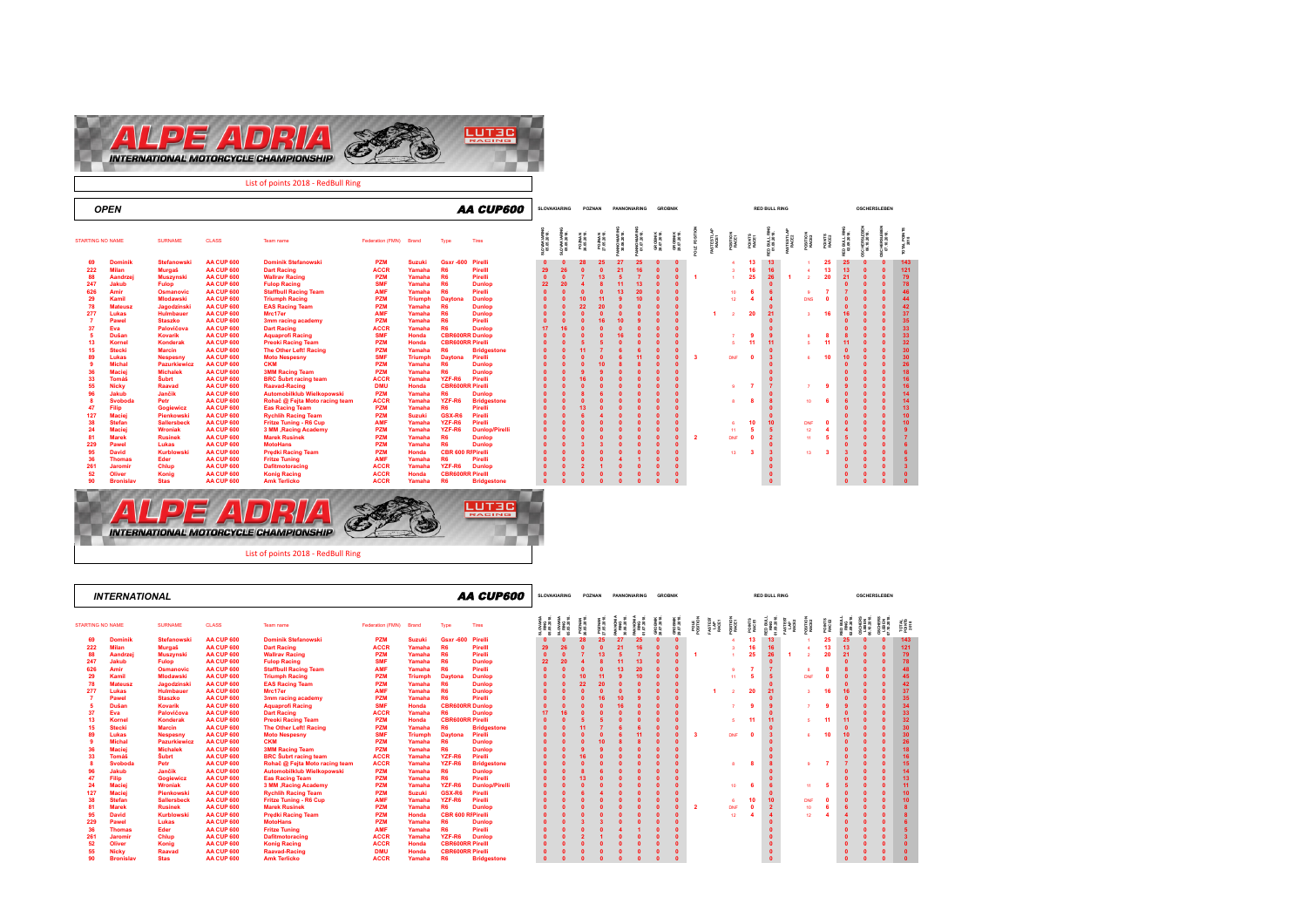

List of points 2018 - RedBull Ring

|                         | <b>OPEN</b>                |                      |                                        |                                            |                            |                 |                                   | <b>AA CUP600</b>      |          | <b>SLOVAKIARING</b>       |    | POZNAN |                 | PANNONIARING | <b>GROBNIK</b>          |                        |                |                   |                   |                 | <b>RED BULL RING</b>      |            |          |            | <b>OSCHERSLEBEN</b>  |                 |
|-------------------------|----------------------------|----------------------|----------------------------------------|--------------------------------------------|----------------------------|-----------------|-----------------------------------|-----------------------|----------|---------------------------|----|--------|-----------------|--------------|-------------------------|------------------------|----------------|-------------------|-------------------|-----------------|---------------------------|------------|----------|------------|----------------------|-----------------|
| <b>STARTING NO NAME</b> |                            | <b>SURNAME</b>       | <b>CLASS</b>                           | Team name                                  | Federation (FMN) Brand     |                 | Type                              | <b>Tires</b>          |          | O VAKIARIN<br>05.05.2018. |    |        |                 |              | GRO BNIK<br>28.07.2018. | GRO BNIK<br>29.07.2018 |                | STEST LA<br>RACE1 | POSITION<br>RACE1 | POINTS<br>RACE1 |                           |            |          |            | IERSLEB<br>.10.2018. |                 |
| 69                      | <b>Dominik</b>             | <b>Stefanowski</b>   | AA CUP 600                             | <b>Dominik Stefanowski</b>                 | <b>PZM</b>                 | <b>Suzuki</b>   | Gsxr-600 Pirelli                  |                       |          |                           | 28 | 25     | 27              | 25           | $\Omega$                | $\Omega$               |                |                   | <b>A</b>          | 13              | 13 <sup>°</sup>           |            | 25       | 25         |                      | 143             |
| 222                     | <b>Milan</b>               | Murgaš               | AA CUP 600                             | <b>Dart Racing</b>                         | <b>ACCR</b>                | Yamaha          | R <sub>6</sub>                    | Pirelll               | 29       | 26                        |    |        | 21              | 16           | $\sqrt{2}$              |                        |                |                   |                   | 16              | 16                        |            | 13       | 13         |                      | 121             |
| 88                      | Aandrzej                   | <b>Muszynski</b>     | <b>AA CUP 600</b>                      | <b>Wallrav Racing</b>                      | PZM                        | Yamaha          | R <sub>6</sub>                    | Pirelli               |          |                           |    |        |                 |              |                         |                        | -1             |                   |                   | 25              | 26                        |            | 20       | 21         |                      | 79              |
| 247                     | Jakub                      | Fulop                | AA CUP 600                             | <b>Fulop Racing</b>                        | <b>SMF</b>                 | Yamaha          | R <sub>6</sub>                    | <b>Dunlop</b>         | 22       |                           |    |        |                 | 13           |                         |                        |                |                   |                   |                 | $\Omega$                  |            |          |            |                      | 78              |
| 626                     | Amir                       | <b>Osmanovic</b>     | AA CUP 600                             | <b>Staffbull Racing Team</b>               | <b>AMF</b>                 | Yamaha          | R <sub>6</sub>                    | Pirelli               |          |                           |    |        | 13 <sup>°</sup> | 20           |                         |                        |                |                   | 10                |                 |                           |            |          |            | $\sqrt{2}$           |                 |
| 29                      | Kamil                      | <b>Mlodawski</b>     | AA CUP 600                             | <b>Triumph Racing</b>                      | <b>PZM</b>                 | <b>Triumph</b>  | <b>Daytor</b>                     | <b>Dunlop</b>         |          |                           |    |        |                 | 10           |                         |                        |                |                   | 12                |                 | $\overline{4}$            | <b>DNS</b> | $\Omega$ |            |                      | $\overline{AB}$ |
| 78                      | <b>Mateusz</b>             | Jagodzinski          | <b>AA CUP 600</b>                      | <b>EAS Racing Team</b>                     | <b>PZM</b>                 | Yamaha          | R <sub>6</sub>                    | <b>Dunlop</b>         |          |                           | 22 |        |                 |              |                         |                        |                |                   |                   |                 | $\Omega$                  |            |          |            |                      | 42              |
| 277                     | Lukas                      | <b>Hulmbauer</b>     | AA CUP 600                             | Mrc17er                                    | <b>AMF</b>                 | Yamaha          | R <sub>6</sub>                    | <b>Dunlop</b>         |          |                           |    |        |                 |              |                         |                        |                |                   |                   | 20              | 21                        |            | 16       | 16         |                      | 37              |
|                         | Pawe                       | <b>Staszko</b>       | AA CUP 600                             | 3mm racing academy                         | <b>PZM</b>                 | Yamaha          | R <sub>6</sub>                    | Pirelli               |          |                           |    |        | 10              |              |                         |                        |                |                   |                   |                 | $\Omega$                  |            |          |            |                      | 35              |
|                         | Eva                        | Palovičova           | AA CUP 600                             | <b>Dart Racing</b>                         | <b>ACCR</b>                | Yamaha          | <b>R6</b>                         | <b>Dunlop</b>         | 17       |                           |    |        |                 |              |                         |                        |                |                   |                   |                 | $\Omega$                  |            |          |            |                      | 33              |
|                         | Dušan                      | <b>Kovarik</b>       | AA CUP 600                             | <b>Aquaprofi Racing</b>                    | <b>SMF</b>                 | Honda           | <b>CBR600RR Dunlop</b>            |                       |          |                           |    |        |                 |              |                         |                        |                |                   |                   |                 | $\overline{9}$            |            | 8        |            |                      | 33              |
| 13                      | Kornel                     | Konderak             | AA CUP 600                             | <b>Preoki Racing Team</b>                  | PZM                        | Honda           | <b>CBR600RR Pirelli</b>           |                       |          |                           |    |        |                 |              |                         |                        |                |                   |                   | 11              | 11                        |            | 11       | 11         |                      | 32              |
| 15                      | <b>Stecki</b>              | <b>Marcin</b>        | AA CUP 600                             | The Other Left! Racing                     | PZM                        | Yamaha          | R <sub>6</sub>                    | <b>Bridgestone</b>    |          |                           |    |        |                 |              | $\sqrt{2}$              |                        |                |                   |                   |                 | $\Omega$                  |            |          |            |                      | 30              |
|                         | Lukas                      | <b>Nespesny</b>      | AA CUP 600                             | <b>Moto Nespesny</b>                       | <b>SMF</b>                 | <b>Triumph</b>  | <b>Davtona</b>                    | Pirelli               |          |                           |    |        |                 |              |                         |                        | 3              |                   | DNF               | - 0             | $\overline{\mathbf{3}}$   |            | 10       | 10         | $\sqrt{2}$           | 30              |
|                         | <b>Michal</b>              | Pazurkiewicz         | AA CUP 600                             | <b>CKM</b>                                 | PZM                        | Yamaha          | R <sub>6</sub>                    | <b>Dunlop</b>         |          |                           |    |        |                 |              |                         |                        |                |                   |                   |                 |                           |            |          |            |                      | 26              |
| 36                      | <b>Macie</b>               | <b>Michalek</b>      | AA CUP 600                             | <b>3MM Racing Team</b>                     | <b>PZM</b>                 | Yamaha          | <b>R6</b>                         | <b>Dunlop</b>         |          |                           |    |        |                 |              |                         |                        |                |                   |                   |                 | $\Omega$                  |            |          |            |                      | 18              |
| 33                      | Tomáš                      | Šubrt                | <b>AA CUP 600</b>                      | <b>BRC</b> Subrt racing team               | <b>ACCR</b>                | Yamaha          | YZF-R6                            | Pirelli               |          |                           |    |        |                 |              |                         |                        |                |                   |                   |                 | $\Omega$                  |            |          |            |                      | 16              |
| 55                      | <b>Nicky</b>               | Raavad               | AA CUP 600                             | <b>Raavad-Racing</b>                       | <b>DMU</b>                 | Honda           | <b>CBR600RR Pirelli</b>           |                       |          |                           |    |        |                 |              |                         |                        |                |                   |                   |                 | $\overline{7}$            |            | -9       |            |                      |                 |
|                         | Jakub                      | Jančik               | AA CUP 600                             | Automobilklub Wielkopowski                 | PZM                        | Yamaha          | <b>R6</b>                         | <b>Dunlop</b>         |          |                           |    |        |                 |              |                         |                        |                |                   |                   |                 | $\sqrt{2}$                |            |          |            |                      | 14              |
|                         | Svoboda                    | Petr                 | AA CUP 600                             | Rohač @ Fejta Moto racing team             | <b>ACCR</b>                | Yamaha          | YZF-R6                            | <b>Bridgestone</b>    |          |                           |    |        |                 |              |                         |                        |                |                   |                   | 8               |                           | 10         | -6       |            |                      |                 |
|                         | Filip                      | Gogiewicz            | <b>AA CUP 600</b>                      | <b>Eas Racing Team</b>                     | PZM                        | Yamaha          | R <sub>6</sub>                    | Pirelli               |          |                           |    |        |                 |              |                         |                        |                |                   |                   |                 |                           |            |          |            |                      | 13              |
| 127                     | <b>Maciej</b>              | Pienkowski           | <b>AA CUP 600</b>                      | <b>Rychlih Racing Team</b>                 | <b>PZM</b>                 | <b>Suzuki</b>   | GSX-R6                            | Pirelli               |          |                           |    |        |                 |              |                         |                        |                |                   |                   |                 | $\Omega$                  |            |          |            |                      | 10              |
| 38                      | <b>Stefan</b>              | <b>Sallersbeck</b>   | <b>AA CUP 600</b>                      | <b>Fritze Tuning - R6 Cup</b>              | <b>AMF</b>                 | Yamaha          | YZF-R6                            | Pirelli               |          |                           |    |        |                 |              |                         |                        |                |                   |                   | 10              | 10                        | <b>DNF</b> | $\Omega$ |            |                      | 10              |
| 24                      | <b>Macie</b>               | Wroniak              | <b>AA CUP 600</b>                      | 3 MM , Racing Academy                      | PZM                        | Yamaha          | YZF-R6                            | <b>Dunlop/Pirelli</b> |          |                           |    |        |                 |              |                         |                        |                |                   | 11                | 5               | 5                         | 12         |          |            |                      |                 |
|                         | <b>Marek</b>               | <b>Rusinek</b>       | <b>AA CUP 600</b>                      | <b>Marek Rusinek</b>                       | PZM                        | Yamaha          | R <sub>6</sub>                    | <b>Dunlop</b>         |          |                           |    |        |                 |              |                         |                        | $\overline{2}$ |                   | DNF               | $\mathbf{0}$    | $\overline{2}$            | 11         |          |            |                      |                 |
| 229                     | Pawel                      | Lukas                | <b>AA CUP 600</b>                      | <b>MotoHans</b>                            | PZM                        | Yamaha          | R <sub>6</sub>                    | <b>Dunlop</b>         |          |                           |    |        |                 |              |                         |                        |                |                   |                   |                 | $\Omega$                  |            |          |            | $\overline{ }$       |                 |
| 95                      | David                      | <b>Kurblowski</b>    | AA CUP 600                             | <b>Predki Racing Team</b>                  | <b>PZM</b>                 | Honda           | <b>CBR 600 RIPirelli</b>          |                       |          |                           |    |        |                 |              |                         |                        |                |                   | 13                | -3              | $\overline{\mathbf{3}}$   | 13         | - 3      |            |                      |                 |
| 36                      | <b>Thomas</b>              | Eder                 | <b>AA CUP 600</b>                      | <b>Fritze Tuning</b>                       | <b>AMF</b>                 | Yamaha          | R <sub>6</sub>                    | Pirelli               |          |                           |    |        |                 |              |                         |                        |                |                   |                   |                 | $\Omega$                  |            |          |            |                      | ß               |
| 261                     | <b>Jaromír</b>             | Chlup                | <b>AA CUP 600</b><br><b>AA CUP 600</b> | <b>Dafitmotoracing</b>                     | <b>ACCR</b><br><b>ACCR</b> | Yamaha          | YZF-R6<br><b>CBR600RR PirellI</b> | <b>Dunlop</b>         |          |                           |    |        |                 |              |                         |                        |                |                   |                   |                 | $\Omega$                  |            |          |            |                      |                 |
| 52<br>90                | Oliver<br><b>Bronislav</b> | Konia<br><b>Stas</b> | <b>AA CUP 600</b>                      | <b>Konig Racing</b><br><b>Amk Terlicko</b> | <b>ACCR</b>                | Honda<br>Yamaha | R <sub>6</sub>                    |                       | $\Omega$ |                           |    |        |                 |              | $\sqrt{2}$              |                        |                |                   |                   |                 | $\mathbf{0}$<br>$\bullet$ |            |          | $\sqrt{2}$ | $\sqrt{2}$           | $\sqrt{2}$      |
|                         |                            |                      |                                        |                                            |                            |                 |                                   | <b>Bridgestone</b>    | -        |                           |    |        |                 |              |                         |                        |                |                   |                   |                 |                           |            |          |            |                      |                 |



|                         | <b>INTERNATIONAL</b> |                    |              |                                |                  |                |                          | <b>AA CUP600</b>      |                               | SLOVAKIARING                          |    | POZNAN |    | PANNONIARING                | <b>GROBNIK</b>        |                       |                |                         |                   |                 | <b>RED BULL RING</b>    |                                           |                  |                 |                              | <b>OSCHERSLEBEN</b> |                               |     |
|-------------------------|----------------------|--------------------|--------------|--------------------------------|------------------|----------------|--------------------------|-----------------------|-------------------------------|---------------------------------------|----|--------|----|-----------------------------|-----------------------|-----------------------|----------------|-------------------------|-------------------|-----------------|-------------------------|-------------------------------------------|------------------|-----------------|------------------------------|---------------------|-------------------------------|-----|
| <b>STARTING NO NAME</b> |                      | <b>SURNAME</b>     | <b>CLASS</b> | Team name                      | Federation (FMN) | Brand          | Type                     | Tires                 | SLOVAKI.<br>RNG<br>15.05.2016 | <b>SLOVAKIA<br/>RNG</b><br>35.95.2918 |    |        |    | ANNONA<br>RING<br>1.07.2018 | GROBNIK<br>28.07.2018 | GROBNIK<br>29.07.2018 | POSTION        | FASTEST<br>LAP<br>RAGE1 | POSITION<br>RACE1 | POINTS<br>RACE1 |                         | មាន<br>ក្នុង អង្គ<br>ស្រុក ស្រុក<br>ស្រុក | OSITION<br>RACEZ | POINTS<br>RACE2 | RED BUL<br>RNG<br>32.09.2011 |                     | овсиет<br>Leben<br>17.10.2011 |     |
| 69                      | <b>Dominik</b>       | <b>Stefanowski</b> | AA CUP 600   | <b>Dominik Stefanowski</b>     | <b>PZM</b>       | <b>Suzuki</b>  | <b>Gsxr-600</b>          | Pirelli               |                               |                                       | 28 |        | 27 | 25                          |                       |                       |                |                         |                   | 13              | 13                      |                                           |                  | 25              | 25                           |                     |                               | 143 |
| 222                     | <b>Milan</b>         | Murgaš             | AA CUP 600   | <b>Dart Racing</b>             | <b>ACCR</b>      | Yamaha         | <b>R6</b>                | Pirelll               | 29                            | 26                                    |    |        | 21 | 16                          |                       |                       |                |                         |                   | 16              | 16                      |                                           |                  | 13              | 13                           |                     | $\sqrt{2}$                    | 121 |
| 88                      | Aandrzei             | <b>Muszynski</b>   | AA CUP 600   | <b>Wallrav Racing</b>          | <b>PZM</b>       | Yamaha         | R <sub>6</sub>           | Pirelli               |                               |                                       |    |        |    |                             |                       |                       |                |                         |                   | 25              | 26                      |                                           |                  | 20              | 21                           |                     |                               | 79  |
| 247                     | Jakub                | <b>Fulop</b>       | AA CUP 600   | <b>Fulop Racing</b>            | <b>SMF</b>       | Yamaha         | R <sub>6</sub>           | <b>Dunlop</b>         | 22                            | 20                                    |    |        |    | 13                          |                       |                       |                |                         |                   |                 |                         |                                           |                  |                 |                              |                     |                               | 78  |
| 626                     | Amir                 | Osmanovic          | AA CUP 600   | <b>Staffbull Racing Team</b>   | <b>AMF</b>       | Yamaha         | <b>R6</b>                | Pirelli               |                               |                                       |    |        | 13 | 20                          |                       |                       |                |                         |                   |                 |                         |                                           |                  |                 |                              |                     |                               |     |
| 29                      | Kamil                | <b>Mlodawski</b>   | AA CUP 600   | <b>Triumph Racing</b>          | <b>PZM</b>       | <b>Triumph</b> | <b>Davton</b>            | <b>Dunlop</b>         |                               |                                       |    |        |    | 10                          |                       |                       |                |                         | 11                | 5               | 5                       |                                           | <b>DNF</b>       |                 |                              |                     |                               | 45  |
| 78                      | <b>Mateusz</b>       | Jagodzinski        | AA CUP 600   | <b>EAS Racing Team</b>         | <b>PZM</b>       | Yamaha         | R <sub>6</sub>           | <b>Dunlop</b>         |                               |                                       | 22 |        |    |                             |                       |                       |                |                         |                   |                 |                         |                                           |                  |                 |                              |                     |                               | 42  |
| 277                     | Lukas                | Hulmbauer          | AA CUP 600   | Mrc17er                        | <b>AMF</b>       | Yamaha         | R <sub>6</sub>           | <b>Dunlop</b>         |                               |                                       |    |        |    |                             |                       |                       |                |                         |                   | 20              | 21                      |                                           |                  | 16              |                              |                     |                               | 37  |
|                         | Pawel                | <b>Staszko</b>     | AA CUP 600   | 3mm racing academy             | PZM              | Yamaha         | R <sub>6</sub>           | Pirelli               |                               |                                       |    |        | 10 |                             |                       |                       |                |                         |                   |                 |                         |                                           |                  |                 |                              |                     |                               | 35  |
|                         | Dušan                | <b>Kovarik</b>     | AA CUP 600   | <b>Aguaprofi Racing</b>        | <b>SMF</b>       | Honda          | <b>CBR600RR Dunlop</b>   |                       |                               |                                       |    |        |    |                             |                       |                       |                |                         |                   | 9               | 9                       |                                           |                  |                 |                              |                     |                               | 34  |
| 37                      | Eva                  | Palovičova         | AA CUP 600   | <b>Dart Racing</b>             | <b>ACCR</b>      | Yamaha         | R <sub>6</sub>           | <b>Dunlop</b>         |                               |                                       |    |        |    |                             |                       |                       |                |                         |                   |                 |                         |                                           |                  |                 |                              |                     | $\sqrt{2}$                    | 33  |
| 13                      | Kornel               | Konderak           | AA CUP 600   | <b>Preoki Racing Team</b>      | PZM              | Honda          | <b>CBR600RR Pirelli</b>  |                       |                               |                                       |    |        |    |                             |                       |                       |                |                         |                   | 11              | 11                      |                                           |                  | 11              |                              |                     |                               | 32  |
| 15                      | <b>Stecki</b>        | <b>Marcin</b>      | AA CUP 600   | The Other Left! Racing         | <b>PZM</b>       | Yamaha         | R <sub>6</sub>           | <b>Bridgestone</b>    |                               |                                       |    |        |    |                             |                       |                       |                |                         |                   |                 |                         |                                           |                  |                 |                              |                     | $\sqrt{2}$                    | 30  |
| 89                      | Lukas                | <b>Nespesny</b>    | AA CUP 600   | <b>Moto Nespesny</b>           | <b>SMF</b>       | Triumph        | <b>Davton</b>            | Pirelli               |                               |                                       |    |        |    |                             |                       |                       | -3             |                         | <b>DNF</b>        | $\Omega$        | $\overline{\mathbf{3}}$ |                                           |                  | 10              |                              |                     |                               | 30  |
|                         | <b>Michal</b>        | Pazurkiewicz       | AA CUP 600   | <b>CKM</b>                     | PZM              | Yamaha         | R <sub>6</sub>           | <b>Dunlop</b>         |                               |                                       |    |        |    |                             |                       |                       |                |                         |                   |                 |                         |                                           |                  |                 |                              |                     | $\mathbf{a}$                  | 26  |
| 36                      | <b>Maciei</b>        | <b>Michalek</b>    | AA CUP 600   | <b>3MM Racing Team</b>         | PZM              | Yamaha         | R <sub>6</sub>           | <b>Dunlop</b>         |                               |                                       |    |        |    |                             |                       |                       |                |                         |                   |                 |                         |                                           |                  |                 |                              |                     |                               | 18  |
| 33                      | Tomáš                | Šubrt              | AA CUP 600   | <b>BRC Subrt racing team</b>   | <b>ACCR</b>      | Yamaha         | YZF-R6                   | Pirelli               |                               |                                       |    |        |    |                             |                       |                       |                |                         |                   |                 |                         |                                           |                  |                 |                              |                     |                               | 16  |
|                         | Svoboda              | Petr               | AA CUP 600   | Rohač @ Fejta Moto racing team | <b>ACCR</b>      | Yamaha         | YZF-R                    | <b>Bridgestone</b>    |                               |                                       |    |        |    |                             |                       |                       |                |                         |                   | 8               | 8                       |                                           | ٠                |                 |                              |                     | $\sqrt{2}$                    | 15  |
| 96                      | Jakub                | Jančik             | AA CUP 600   | Automobilklub Wielkopowski     | <b>PZM</b>       | Yamaha         | R <sub>6</sub>           | <b>Dunlop</b>         |                               |                                       |    |        |    |                             |                       |                       |                |                         |                   |                 |                         |                                           |                  |                 |                              |                     |                               | 14  |
| 47                      | Filip                | Gogiewicz          | AA CUP 600   | <b>Eas Racing Team</b>         | <b>PZM</b>       | Yamaha         | R <sub>6</sub>           | Pirelli               |                               |                                       |    |        |    |                             |                       |                       |                |                         |                   |                 |                         |                                           |                  |                 |                              |                     |                               | 13  |
| 24                      | <b>Maciei</b>        | Wroniak            | AA CUP 600   | 3 MM .Racing Academy           | PZM              | Yamaha         | YZF-R6                   | <b>Dunlop/Pirelli</b> |                               |                                       |    |        |    |                             |                       |                       |                |                         | 10                | 6.              | 6                       |                                           | 11               | -5              |                              |                     |                               | 11  |
| 127                     | <b>Maciei</b>        | Pienkowski         | AA CUP 600   | <b>Rychlih Racing Team</b>     | PZM              | <b>Suzuki</b>  | <b>GSX-R</b>             | Pirelli               |                               |                                       |    |        |    |                             |                       |                       |                |                         |                   |                 |                         |                                           |                  |                 |                              |                     | $\sqrt{2}$                    | 10  |
| 38                      | <b>Stefan</b>        | <b>Sallersbeck</b> | AA CUP 600   | <b>Fritze Tuning - R6 Cup</b>  | <b>AMF</b>       | Yamaha         | YZF-R6                   | Pirelli               |                               |                                       |    |        |    |                             |                       |                       |                |                         |                   | 10              | 10                      |                                           | <b>DNF</b>       |                 |                              |                     |                               | 10  |
| 81                      | <b>Marek</b>         | <b>Rusinek</b>     | AA CUP 600   | <b>Marek Rusinek</b>           | PZM              | Yamaha         | R <sub>6</sub>           | <b>Dunlop</b>         |                               |                                       |    |        |    |                             |                       |                       | $\overline{ }$ |                         | <b>DNF</b>        | $\Omega$        | $\overline{2}$          |                                           | 10               | -6              |                              |                     |                               |     |
| 95                      | <b>David</b>         | <b>Kurblowski</b>  | AA CUP 600   | <b>Predki Racing Team</b>      | <b>PZM</b>       | Honda          | <b>CBR 600 RiPirelli</b> |                       |                               |                                       |    |        |    |                             |                       |                       |                |                         | 12                |                 |                         |                                           | 12               |                 |                              |                     |                               |     |
| 229                     | Pawel                | Lukas              | AA CUP 600   | <b>MotoHans</b>                | <b>PZM</b>       | Yamaha         | R <sub>6</sub>           | <b>Dunlop</b>         |                               |                                       |    |        |    |                             |                       |                       |                |                         |                   |                 |                         |                                           |                  |                 |                              |                     |                               |     |
| 36                      | <b>Thomas</b>        | Eder               | AA CUP 600   | <b>Fritze Tuning</b>           | <b>AMF</b>       | Yamaha         | <b>R6</b>                | Pirelli               |                               |                                       |    |        |    |                             |                       |                       |                |                         |                   |                 |                         |                                           |                  |                 |                              |                     |                               |     |
| 261                     | Jaromír              | Chlup              | AA CUP 600   | <b>Dafitmotoracing</b>         | <b>ACCR</b>      | Yamaha         | YZF-R6                   | <b>Dunlop</b>         |                               |                                       |    |        |    |                             |                       |                       |                |                         |                   |                 |                         |                                           |                  |                 |                              |                     |                               |     |
| 52                      | <b>Oliver</b>        | Konia              | AA CUP 600   | <b>Konig Racing</b>            | <b>ACCR</b>      | Honda          | <b>CBR600RR Pirelll</b>  |                       |                               |                                       |    |        |    |                             |                       |                       |                |                         |                   |                 |                         |                                           |                  |                 |                              |                     |                               |     |
| 55                      | <b>Nicky</b>         | Raavad             | AA CUP 600   | <b>Raavad-Racing</b>           | <b>DMU</b>       | Honda          | <b>CBR600RR Pirelli</b>  |                       |                               |                                       |    |        |    |                             |                       |                       |                |                         |                   |                 |                         |                                           |                  |                 |                              |                     |                               |     |
| ۹n                      | <b>Bronislay</b>     | <b>Stas</b>        | AA CUP 600   | <b>Amk Terlicko</b>            | <b>ACCR</b>      | Yamaha         | <b>R6</b>                | <b>Bridgestone</b>    |                               |                                       |    |        |    |                             |                       |                       |                |                         |                   |                 |                         |                                           |                  |                 |                              |                     |                               |     |